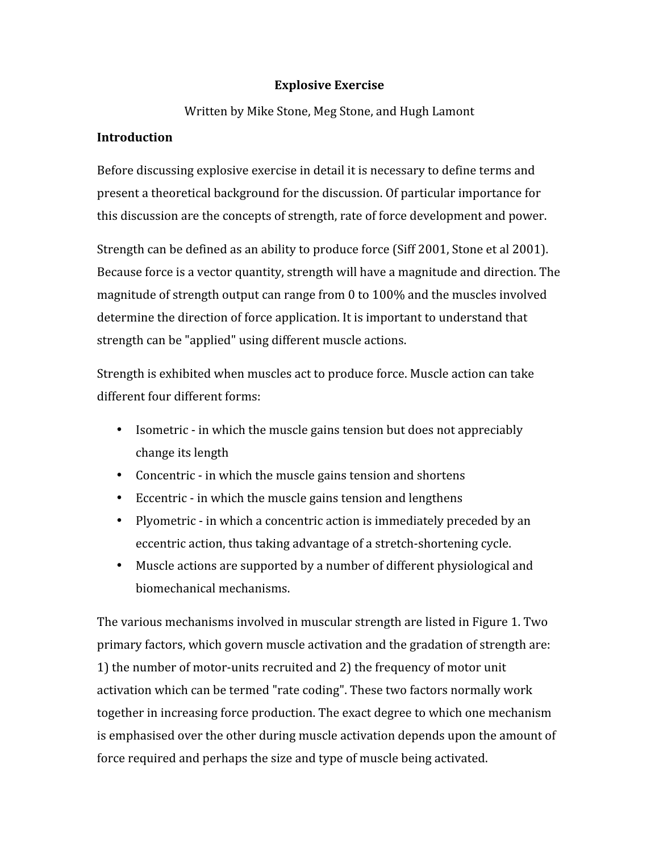## **Explosive
Exercise**

Written
by
Mike
Stone,
Meg
Stone,
and
Hugh
Lamont

## **Introduction**

Before discussing explosive exercise in detail it is necessary to define terms and present
a
theoretical
background
for
the
discussion.
Of
particular
importance
for this discussion are the concepts of strength, rate of force development and power.

Strength can be defined as an ability to produce force (Siff 2001, Stone et al 2001). Because force is a vector quantity, strength will have a magnitude and direction. The magnitude
of
strength
output
can
range
from
0
to
100%
and
the
muscles
involved determine the direction of force application. It is important to understand that strength
can
be
"applied"
using
different
muscle
actions.

Strength
is
exhibited
when
muscles
act
to
produce
force.
Muscle
action
can
take different
four
different
forms:

- Isometric in which the muscle gains tension but does not appreciably change
its
length
- Concentric in which the muscle gains tension and shortens
- Eccentric in which the muscle gains tension and lengthens
- Plyometric in which a concentric action is immediately preceded by an eccentric
action,
thus
taking
advantage
of
a
stretch‐shortening
cycle.
- Muscle actions are supported by a number of different physiological and biomechanical
mechanisms.

The various mechanisms involved in muscular strength are listed in Figure 1. Two primary
factors,
which
govern
muscle
activation
and
the
gradation
of
strength
are: 1)
the
number
of
motor‐units
recruited
and
2)
the
frequency
of
motor
unit activation
which
can
be
termed
"rate
coding".
These
two
factors
normally
work together
in
increasing
force
production.
The
exact
degree
to
which
one
mechanism is
emphasised
over
the
other
during
muscle
activation
depends
upon
the
amount
of force
required
and
perhaps
the
size
and
type
of
muscle
being
activated.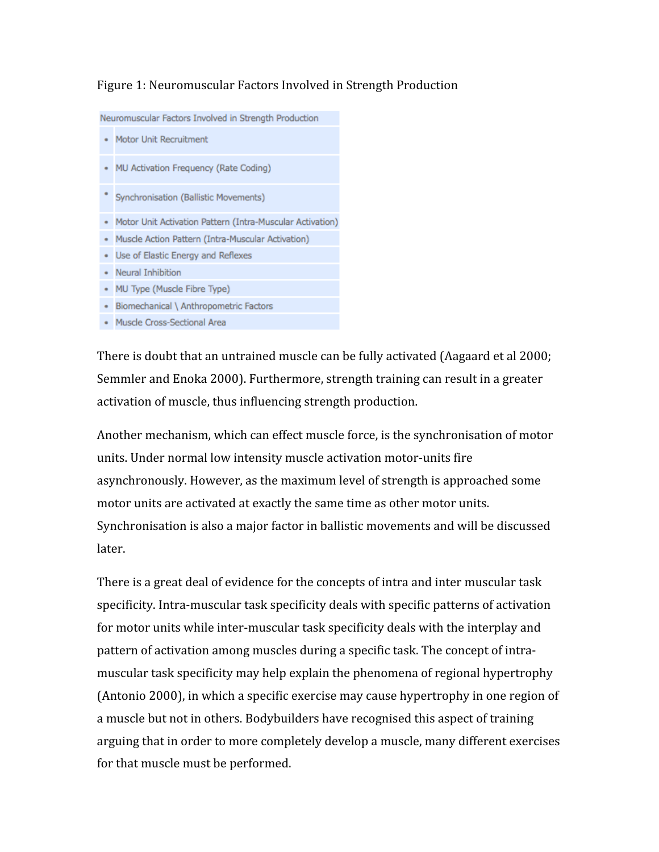## Figure
1:
Neuromuscular
Factors
Involved
in
Strength
Production

Neuromuscular Factors Involved in Strength Production

- Motor Unit Recruitment
- MU Activation Frequency (Rate Coding)
- \* Synchronisation (Ballistic Movements)
- Motor Unit Activation Pattern (Intra-Muscular Activation)
- · Muscle Action Pattern (Intra-Muscular Activation)
- · Use of Elastic Energy and Reflexes
- Neural Inhibition
- MU Type (Muscle Fibre Type)
- Biomechanical \ Anthropometric Factors
- · Muscle Cross-Sectional Area

There
is
doubt
that
an
untrained
muscle
can
be
fully
activated
(Aagaard
et
al
2000; Semmler and Enoka 2000). Furthermore, strength training can result in a greater activation
of
muscle,
thus
influencing
strength
production.

Another
mechanism,
which
can
effect
muscle
force,
is
the
synchronisation
of
motor units.
Under
normal
low
intensity
muscle
activation
motor‐units
fire asynchronously.
However,
as
the
maximum
level
of
strength
is
approached
some motor units are activated at exactly the same time as other motor units. Synchronisation is also a major factor in ballistic movements and will be discussed later.

There
is
a
great
deal
of
evidence
for
the
concepts
of
intra
and
inter
muscular
task specificity.
Intra‐muscular
task
specificity
deals
with
specific
patterns
of
activation for motor units while inter-muscular task specificity deals with the interplay and pattern
of
activation
among
muscles
during
a
specific
task.
The
concept
of
intra‐ muscular
task
specificity
may
help
explain
the
phenomena
of
regional
hypertrophy (Antonio
2000),
in
which
a
specific
exercise
may
cause
hypertrophy
in
one
region
of a muscle but not in others. Bodybuilders have recognised this aspect of training arguing
that
in
order
to
more
completely
develop
a
muscle,
many
different
exercises for
that
muscle
must
be
performed.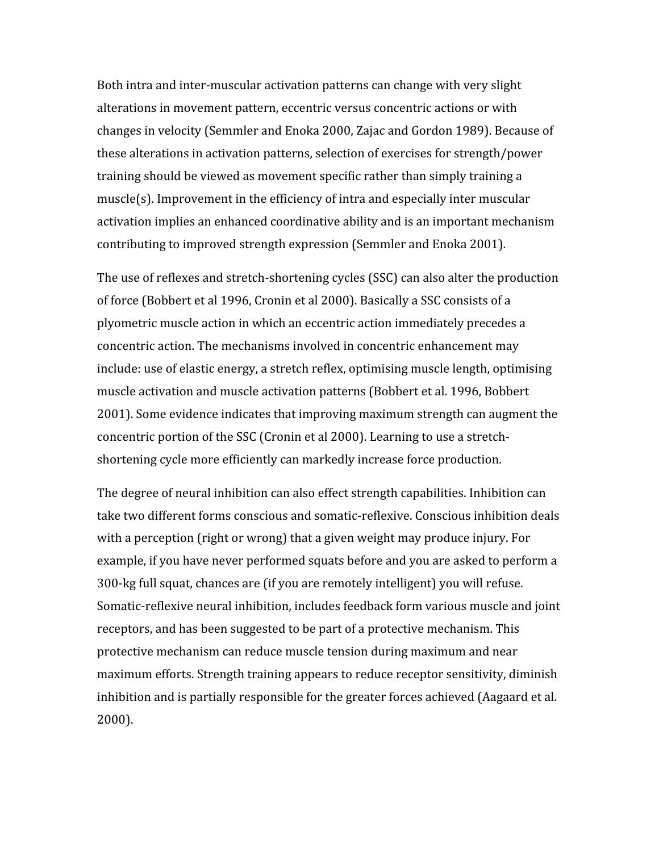Both intra and inter-muscular activation patterns can change with very slight alterations in movement pattern, eccentric versus concentric actions or with changes
in
velocity
(Semmler
and
Enoka
2000,
Zajac
and
Gordon
1989).
Because
of these
alterations
in
activation
patterns,
selection
of
exercises
for
strength/power training
should
be
viewed
as
movement
specific
rather
than
simply
training
a muscle(s). Improvement in the efficiency of intra and especially inter muscular activation
implies
an
enhanced
coordinative
ability
and
is
an
important
mechanism contributing
to
improved
strength
expression
(Semmler
and
Enoka
2001).

The use of reflexes and stretch-shortening cycles (SSC) can also alter the production of
force
(Bobbert
et
al
1996,
Cronin
et
al
2000).
Basically
a
SSC
consists
of
a plyometric
muscle
action
in
which
an
eccentric
action
immediately
precedes
a concentric
action.
The
mechanisms
involved
in
concentric
enhancement
may include:
use
of
elastic
energy,
a
stretch
reflex,
optimising
muscle
length,
optimising muscle
activation
and
muscle
activation
patterns
(Bobbert
et
al.
1996,
Bobbert 2001).
Some
evidence
indicates
that
improving
maximum
strength
can
augment
the concentric
portion
of
the
SSC
(Cronin
et
al
2000).
Learning
to
use
a
stretch‐ shortening
cycle
more
efficiently
can
markedly
increase
force
production.

The
degree
of
neural
inhibition
can
also
effect
strength
capabilities.
Inhibition
can take two different forms conscious and somatic-reflexive. Conscious inhibition deals with a perception (right or wrong) that a given weight may produce injury. For example, if you have never performed squats before and you are asked to perform a 300‐kg
full
squat,
chances
are
(if
you
are
remotely
intelligent)
you
will
refuse. Somatic-reflexive neural inhibition, includes feedback form various muscle and joint receptors,
and
has
been
suggested
to
be
part
of
a
protective
mechanism.
This protective
mechanism
can
reduce
muscle
tension
during
maximum
and
near maximum
efforts.
Strength
training
appears
to
reduce
receptor
sensitivity,
diminish inhibition
and
is
partially
responsible
for
the
greater
forces
achieved
(Aagaard
et
al. 2000).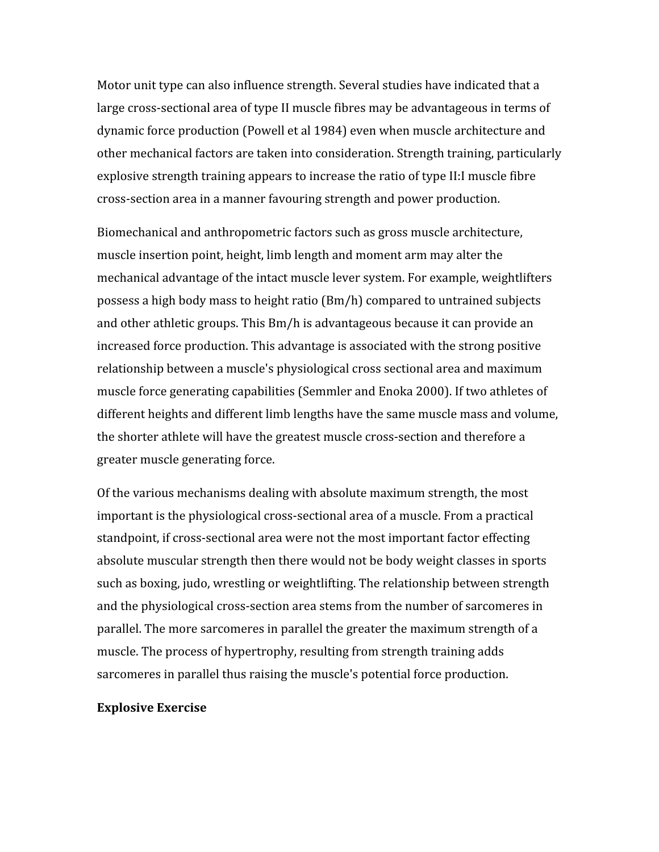Motor unit type can also influence strength. Several studies have indicated that a large cross-sectional area of type II muscle fibres may be advantageous in terms of dynamic
force
production
(Powell
et
al
1984)
even
when
muscle
architecture
and other
mechanical
factors
are
taken
into
consideration.
Strength
training,
particularly explosive
strength
training
appears
to
increase
the
ratio
of
type
II:I
muscle
fibre cross‐section
area
in
a
manner
favouring
strength
and
power
production.

Biomechanical
and
anthropometric
factors
such
as
gross
muscle
architecture, muscle
insertion
point,
height,
limb
length
and
moment
arm
may
alter
the mechanical
advantage
of
the
intact
muscle
lever
system.
For
example,
weightlifters possess
a
high
body
mass
to
height
ratio
(Bm/h)
compared
to
untrained
subjects and
other
athletic
groups.
This
Bm/h
is
advantageous
because
it
can
provide
an increased
force
production.
This
advantage
is
associated
with
the
strong
positive relationship
between
a
muscle's
physiological
cross
sectional
area
and
maximum muscle
force
generating
capabilities
(Semmler
and
Enoka
2000).
If
two
athletes
of different heights and different limb lengths have the same muscle mass and volume, the
shorter
athlete
will
have
the
greatest
muscle
cross‐section
and
therefore
a greater
muscle
generating
force.

Of
the
various
mechanisms
dealing
with
absolute
maximum
strength,
the
most important is the physiological cross-sectional area of a muscle. From a practical standpoint, if cross-sectional area were not the most important factor effecting absolute muscular strength then there would not be body weight classes in sports such as boxing, judo, wrestling or weightlifting. The relationship between strength and
the
physiological
cross‐section
area
stems
from
the
number
of
sarcomeres
in parallel.
The
more
sarcomeres
in
parallel
the
greater
the
maximum
strength
of
a muscle.
The
process
of
hypertrophy,
resulting
from
strength
training
adds sarcomeres in parallel thus raising the muscle's potential force production.

#### **Explosive
Exercise**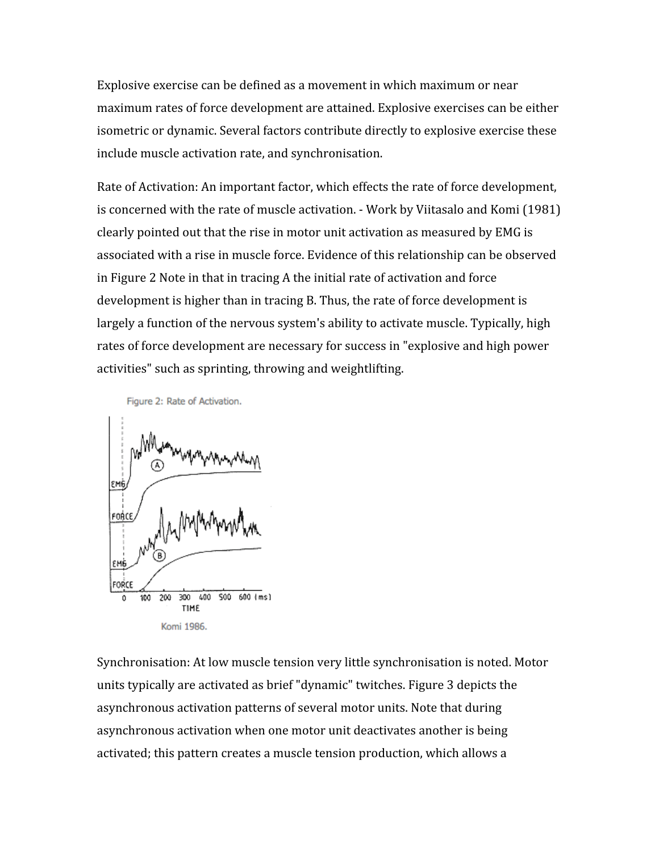Explosive
exercise
can
be
defined
as
a
movement
in
which
maximum
or
near maximum
rates
of
force
development
are
attained.
Explosive
exercises
can
be
either isometric
or
dynamic.
Several
factors
contribute
directly
to
explosive
exercise
these include
muscle
activation
rate,
and
synchronisation.

Rate of Activation: An important factor, which effects the rate of force development, is
concerned
with
the
rate
of
muscle
activation.
‐
Work
by
Viitasalo
and
Komi
(1981) clearly
pointed
out
that
the
rise
in
motor
unit
activation
as
measured
by
EMG
is associated
with
a
rise
in
muscle
force.
Evidence
of
this
relationship
can
be
observed in Figure 2 Note in that in tracing A the initial rate of activation and force development is higher than in tracing B. Thus, the rate of force development is largely a function of the nervous system's ability to activate muscle. Typically, high rates of force development are necessary for success in "explosive and high power activities"
such
as
sprinting,
throwing
and
weightlifting.

Figure 2: Rate of Activation.



Synchronisation:
At
low
muscle
tension
very
little
synchronisation
is
noted.
Motor units
typically
are
activated
as
brief
"dynamic"
twitches.
Figure
3
depicts
the asynchronous
activation
patterns
of
several
motor
units.
Note
that
during asynchronous
activation
when
one
motor
unit
deactivates
another
is
being activated; this pattern creates a muscle tension production, which allows a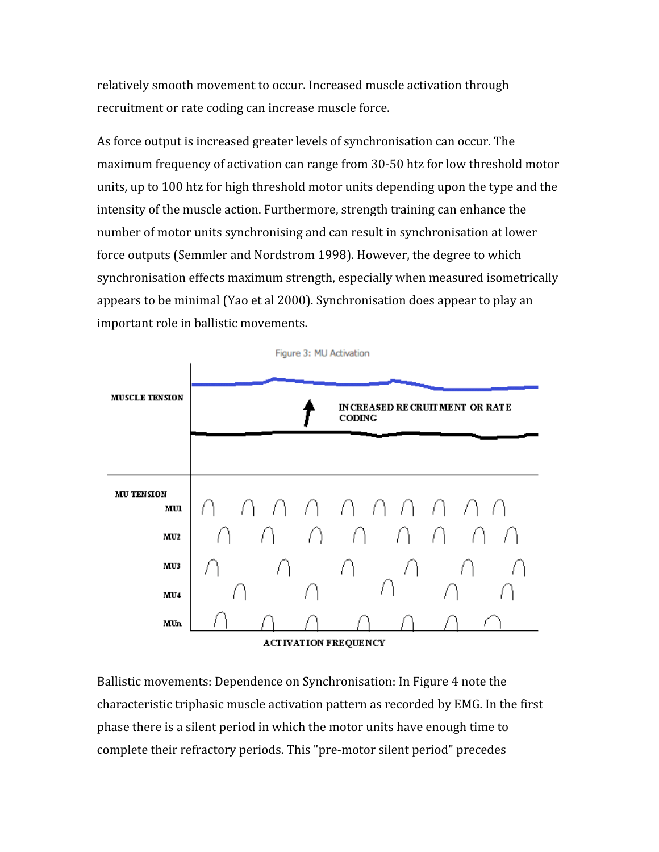relatively
smooth
movement
to
occur.
Increased
muscle
activation
through recruitment or rate coding can increase muscle force.

As force output is increased greater levels of synchronisation can occur. The maximum frequency of activation can range from 30-50 htz for low threshold motor units, up to 100 htz for high threshold motor units depending upon the type and the intensity
of
the
muscle
action.
Furthermore,
strength
training
can
enhance
the number of motor units synchronising and can result in synchronisation at lower force
outputs
(Semmler
and
Nordstrom
1998).
However,
the
degree
to
which synchronisation
effects
maximum
strength,
especially
when
measured
isometrically appears
to
be
minimal
(Yao
et
al
2000).
Synchronisation
does
appear
to
play
an important
role
in
ballistic
movements.



Ballistic
movements:
Dependence
on
Synchronisation:
In
Figure
4
note
the characteristic
triphasic
muscle
activation
pattern
as
recorded
by
EMG.
In
the
first phase
there
is
a
silent
period
in
which
the
motor
units
have
enough
time
to complete
their
refractory
periods.
This
"pre‐motor
silent
period"
precedes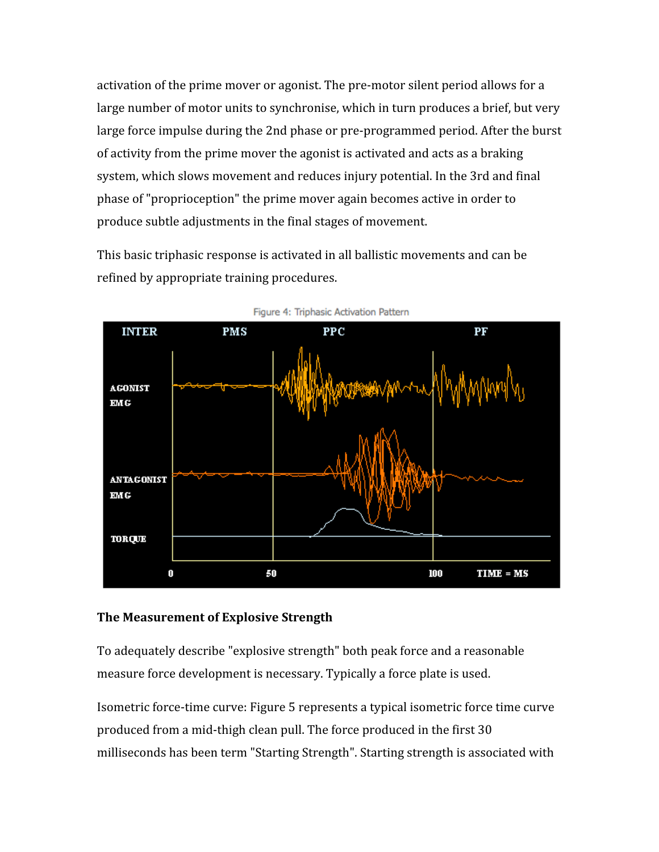activation of the prime mover or agonist. The pre-motor silent period allows for a large number of motor units to synchronise, which in turn produces a brief, but very large force impulse during the 2nd phase or pre-programmed period. After the burst of
activity
from
the
prime
mover
the
agonist
is
activated
and
acts
as
a
braking system,
which
slows
movement
and
reduces
injury
potential.
In
the
3rd
and
final phase
of
"proprioception"
the
prime
mover
again
becomes
active
in
order
to produce
subtle
adjustments
in
the
final
stages
of
movement.

This basic triphasic response is activated in all ballistic movements and can be refined
by
appropriate
training
procedures.



Figure 4: Triphasic Activation Pattern

## **The
Measurement
of
Explosive
Strength**

To
adequately
describe
"explosive
strength"
both
peak
force
and
a
reasonable measure force development is necessary. Typically a force plate is used.

Isometric
force‐time
curve:
Figure
5
represents
a
typical
isometric
force
time
curve produced
from
a
mid‐thigh
clean
pull.
The
force
produced
in
the
first
30 milliseconds
has
been
term
"Starting
Strength".
Starting
strength
is
associated
with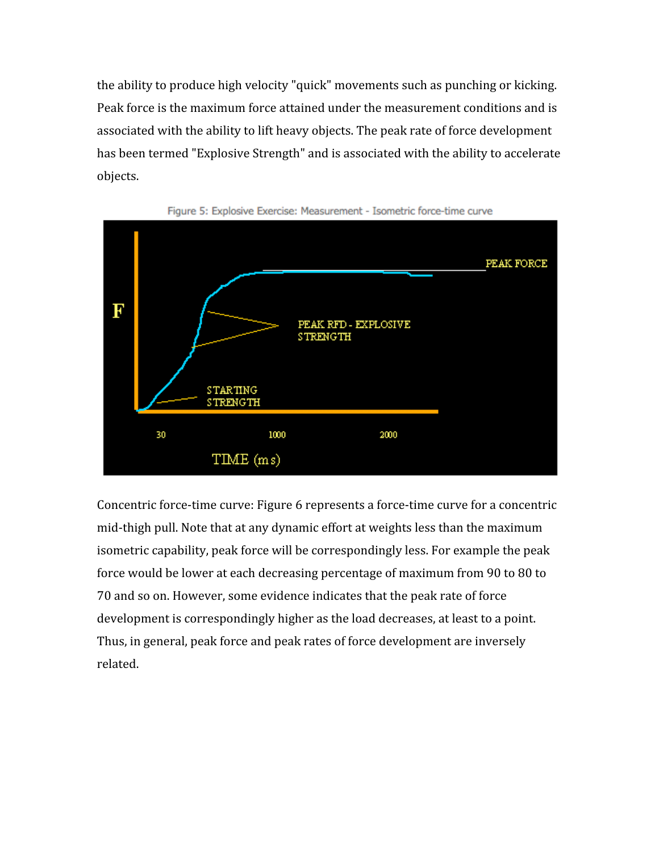the
ability
to
produce
high
velocity
"quick"
movements
such
as
punching
or
kicking. Peak
force
is
the
maximum
force
attained
under
the
measurement
conditions
and
is associated
with
the
ability
to
lift
heavy
objects.
The
peak
rate
of
force
development has been termed "Explosive Strength" and is associated with the ability to accelerate objects.





Concentric force-time curve: Figure 6 represents a force-time curve for a concentric mid-thigh pull. Note that at any dynamic effort at weights less than the maximum isometric
capability,
peak
force
will
be
correspondingly
less.
For
example
the
peak force would be lower at each decreasing percentage of maximum from 90 to 80 to 70
and
so
on.
However,
some
evidence
indicates
that
the
peak
rate
of
force development is correspondingly higher as the load decreases, at least to a point. Thus,
in
general,
peak
force
and
peak
rates
of
force
development
are
inversely related.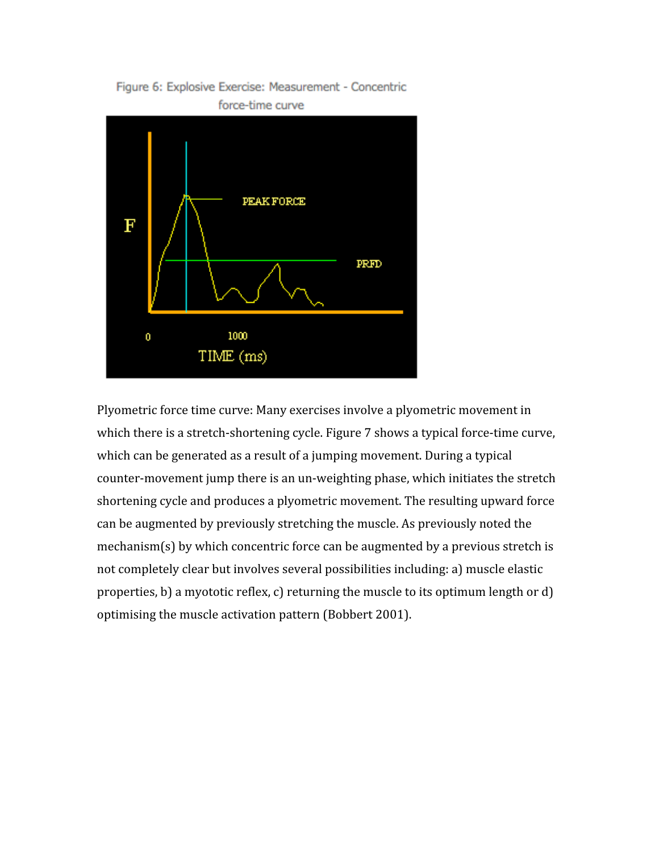



Plyometric
force
time
curve:
Many
exercises
involve
a
plyometric
movement
in which there is a stretch-shortening cycle. Figure 7 shows a typical force-time curve, which can be generated as a result of a jumping movement. During a typical counter‐movement
jump
there
is
an
un‐weighting
phase,
which
initiates
the
stretch shortening
cycle
and
produces
a
plyometric
movement.
The
resulting
upward
force can
be
augmented
by
previously
stretching
the
muscle.
As
previously
noted
the mechanism(s) by which concentric force can be augmented by a previous stretch is not
completely
clear
but
involves
several
possibilities
including:
a)
muscle
elastic properties,
b)
a
myototic
reflex,
c)
returning
the
muscle
to
its
optimum
length
or
d) optimising
the
muscle
activation
pattern
(Bobbert
2001).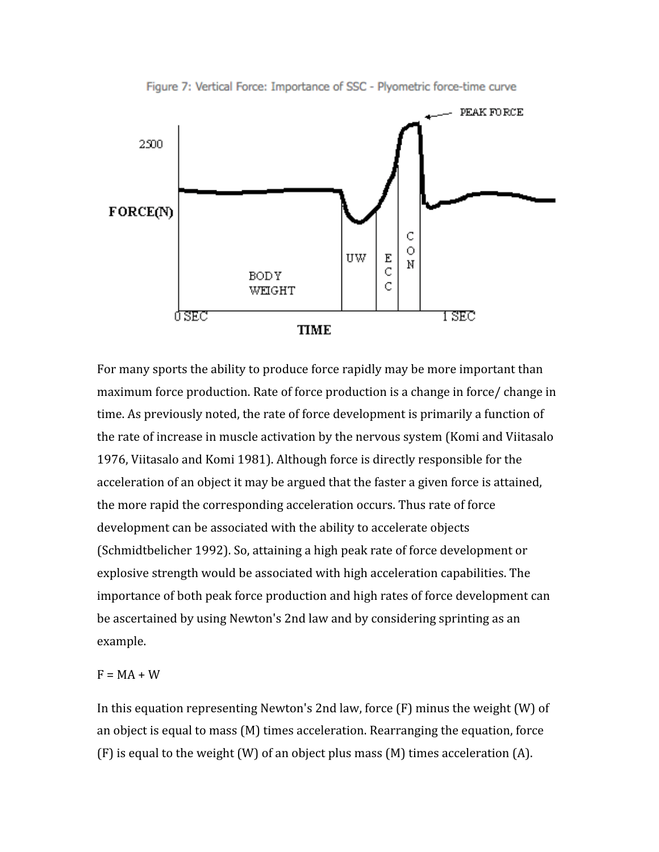

Figure 7: Vertical Force: Importance of SSC - Plyometric force-time curve

For many sports the ability to produce force rapidly may be more important than maximum force production. Rate of force production is a change in force/ change in time. As previously noted, the rate of force development is primarily a function of the
rate
of
increase
in
muscle
activation
by
the
nervous
system
(Komi
and
Viitasalo 1976,
Viitasalo
and
Komi
1981).
Although
force
is
directly
responsible
for
the acceleration of an object it may be argued that the faster a given force is attained, the
more
rapid
the
corresponding
acceleration
occurs.
Thus
rate
of
force development can be associated with the ability to accelerate objects (Schmidtbelicher
1992).
So,
attaining
a
high
peak
rate
of
force
development
or explosive
strength
would
be
associated
with
high
acceleration
capabilities.
The importance of both peak force production and high rates of force development can be
ascertained
by
using
Newton's
2nd
law
and
by
considering
sprinting
as
an example.

## $F = MA + W$

In this equation representing Newton's 2nd law, force (F) minus the weight (W) of an
object
is
equal
to
mass
(M)
times
acceleration.
Rearranging
the
equation,
force (F)
is
equal
to
the
weight
(W)
of
an
object
plus
mass
(M)
times
acceleration
(A).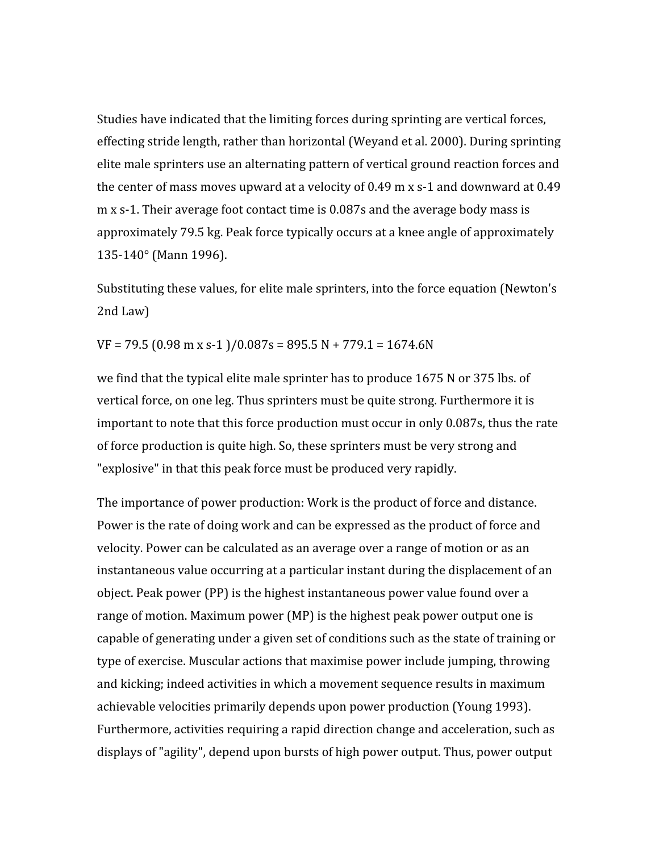Studies
have
indicated
that
the
limiting
forces
during
sprinting
are
vertical
forces, effecting stride length, rather than horizontal (Weyand et al. 2000). During sprinting elite male sprinters use an alternating pattern of vertical ground reaction forces and the center of mass moves upward at a velocity of 0.49 m x s-1 and downward at 0.49 m x s-1. Their average foot contact time is 0.087s and the average body mass is approximately
79.5
kg.
Peak
force
typically
occurs
at
a
knee
angle
of
approximately 135‐140°
(Mann
1996).

Substituting these values, for elite male sprinters, into the force equation (Newton's 2nd
Law)

 $VF = 79.5 (0.98 m x s-1)/0.087s = 895.5 N + 779.1 = 1674.6 N$ 

we find that the typical elite male sprinter has to produce 1675 N or 375 lbs. of vertical force, on one leg. Thus sprinters must be quite strong. Furthermore it is important to note that this force production must occur in only 0.087s, thus the rate of
force
production
is
quite
high.
So,
these
sprinters
must
be
very
strong
and "explosive" in that this peak force must be produced very rapidly.

The importance of power production: Work is the product of force and distance. Power is the rate of doing work and can be expressed as the product of force and velocity. Power can be calculated as an average over a range of motion or as an instantaneous value occurring at a particular instant during the displacement of an object.
Peak
power
(PP)
is
the
highest
instantaneous
power
value
found
over
a range of motion. Maximum power (MP) is the highest peak power output one is capable
of
generating
under
a
given
set
of
conditions
such
as
the
state
of
training
or type
of
exercise.
Muscular
actions
that
maximise
power
include
jumping,
throwing and
kicking;
indeed
activities
in
which
a
movement
sequence
results
in
maximum achievable
velocities
primarily
depends
upon
power
production
(Young
1993). Furthermore, activities requiring a rapid direction change and acceleration, such as displays
of
"agility",
depend
upon
bursts
of
high
power
output.
Thus,
power
output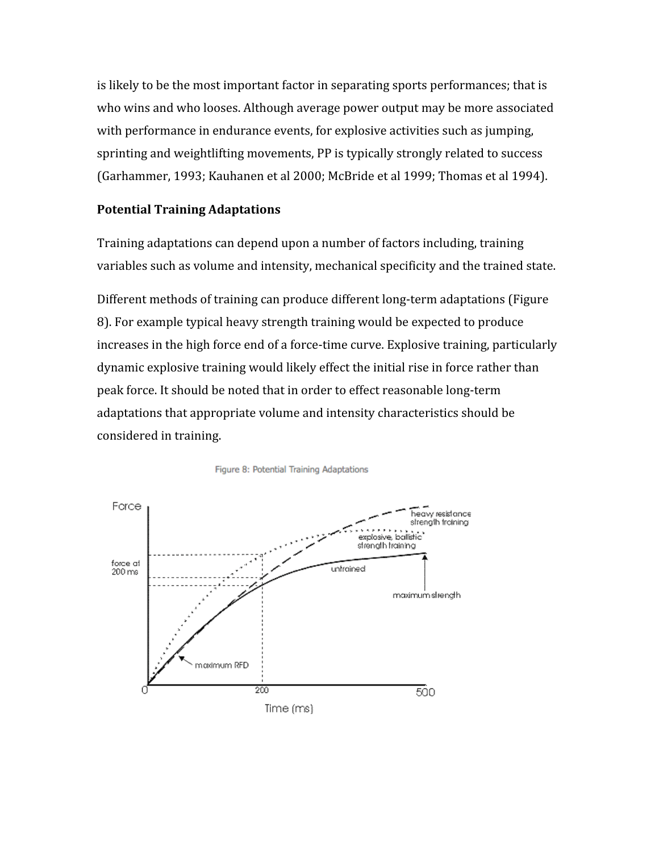is
likely
to
be
the
most
important
factor
in
separating
sports
performances;
that
is who wins and who looses. Although average power output may be more associated with performance in endurance events, for explosive activities such as jumping, sprinting and weightlifting movements, PP is typically strongly related to success (Garhammer, 1993; Kauhanen et al 2000; McBride et al 1999; Thomas et al 1994).

## **Potential
Training
Adaptations**

Training
adaptations
can
depend
upon
a
number
of
factors
including,
training variables such as volume and intensity, mechanical specificity and the trained state.

Different
methods
of
training
can
produce
different
long‐term
adaptations
(Figure 8).
For
example
typical
heavy
strength
training
would
be
expected
to
produce increases in the high force end of a force-time curve. Explosive training, particularly dynamic
explosive
training
would
likely
effect
the
initial
rise
in
force
rather
than peak
force.
It
should
be
noted
that
in
order
to
effect
reasonable
long‐term adaptations
that
appropriate
volume
and
intensity
characteristics
should
be considered
in
training.



Figure 8: Potential Training Adaptations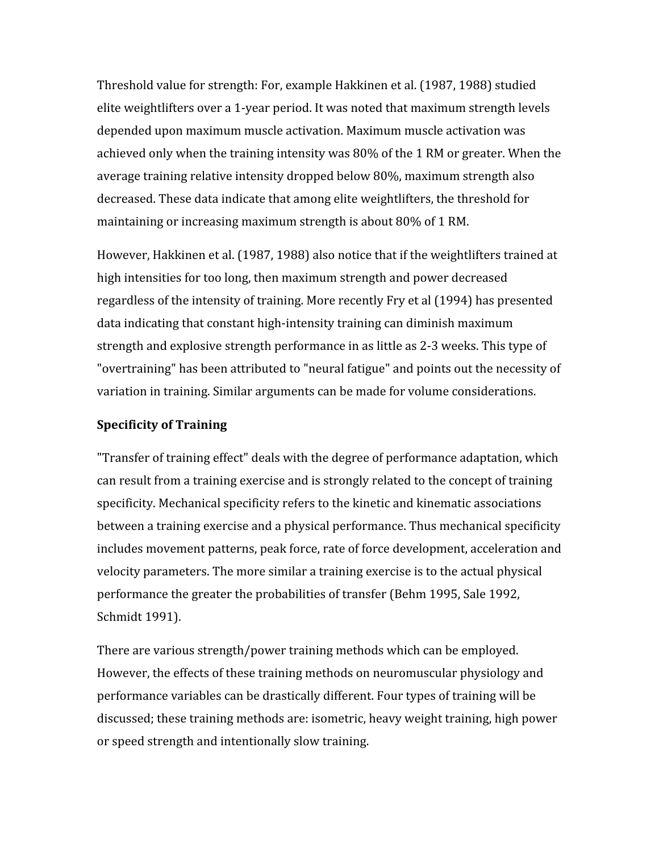Threshold
value
for
strength:
For,
example
Hakkinen
et
al.
(1987,
1988)
studied elite
weightlifters
over
a
1‐year
period.
It
was
noted
that
maximum
strength
levels depended
upon
maximum
muscle
activation.
Maximum
muscle
activation
was achieved
only
when
the
training
intensity
was
80%
of
the
1
RM
or
greater.
When
the average
training
relative
intensity
dropped
below
80%,
maximum
strength
also decreased. These data indicate that among elite weightlifters, the threshold for maintaining
or
increasing
maximum
strength
is
about
80%
of
1
RM.

However,
Hakkinen
et
al.
(1987,
1988)
also
notice
that
if
the
weightlifters
trained
at high
intensities
for
too
long,
then
maximum
strength
and
power
decreased regardless
of
the
intensity
of
training.
More
recently
Fry
et
al
(1994)
has
presented data
indicating
that
constant
high‐intensity
training
can
diminish
maximum strength
and
explosive
strength
performance
in
as
little
as
2‐3
weeks.
This
type
of "overtraining" has been attributed to "neural fatigue" and points out the necessity of variation
in
training.
Similar
arguments
can
be
made
for
volume
considerations.

#### **Specificity
of
Training**

"Transfer of training effect" deals with the degree of performance adaptation, which can
result
from
a
training
exercise
and
is
strongly
related
to
the
concept
of
training specificity. Mechanical specificity refers to the kinetic and kinematic associations between
a
training
exercise
and
a
physical
performance.
Thus
mechanical
specificity includes movement patterns, peak force, rate of force development, acceleration and velocity
parameters.
The
more
similar
a
training
exercise
is
to
the
actual
physical performance
the
greater
the
probabilities
of
transfer
(Behm
1995,
Sale
1992, Schmidt
1991).

There
are
various
strength/power
training
methods
which
can
be
employed. However,
the
effects
of
these
training
methods
on
neuromuscular
physiology
and performance
variables
can
be
drastically
different.
Four
types
of
training
will
be discussed;
these
training
methods
are:
isometric,
heavy
weight
training,
high
power or
speed
strength
and
intentionally
slow
training.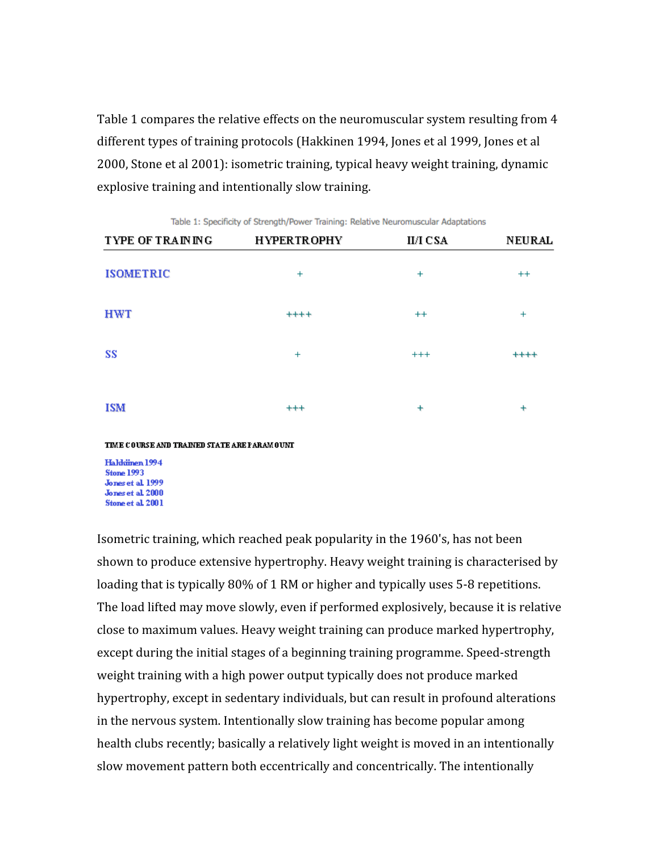Table 1 compares the relative effects on the neuromuscular system resulting from 4 different types of training protocols (Hakkinen 1994, Jones et al 1999, Jones et al 2000,
Stone
et
al
2001):
isometric
training,
typical
heavy
weight
training,
dynamic explosive
training
and
intentionally
slow
training.

| <b>TYPE OF TRAINING</b> | <b>HYPERTROPHY</b> | <b>II/I CSA</b> | <b>NEURAL</b> |
|-------------------------|--------------------|-----------------|---------------|
| <b>ISOMETRIC</b>        | $+$                | $+$             | $^{++}$       |
| <b>HWT</b>              | $++++$             | $++$            | $+$           |
| SS                      | $^{+}$             | $^{+++}$        | $***$         |
| <b>ISM</b>              | $^{+++}$           | $\ddot{}$       | $\ddot{}$     |

Table 1: Specificity of Strength/Power Training: Relative Neuromuscular Adaptations

TIME COURSE AND TRAINED STATE ARE PARAMOUNT

Haldtinen 1994 **Stone 1993** Jones et al. 1999 Jones et al. 2000 Stone et al. 2001

Isometric
training,
which
reached
peak
popularity
in
the
1960's,
has
not
been shown
to
produce
extensive
hypertrophy.
Heavy
weight
training
is
characterised
by loading that is typically 80% of 1 RM or higher and typically uses 5-8 repetitions. The
load
lifted
may
move
slowly,
even
if
performed
explosively,
because
it
is
relative close
to
maximum
values.
Heavy
weight
training
can
produce
marked
hypertrophy, except during the initial stages of a beginning training programme. Speed-strength weight training with a high power output typically does not produce marked hypertrophy, except in sedentary individuals, but can result in profound alterations in the nervous system. Intentionally slow training has become popular among health clubs recently; basically a relatively light weight is moved in an intentionally slow
movement
pattern
both
eccentrically
and
concentrically.
The
intentionally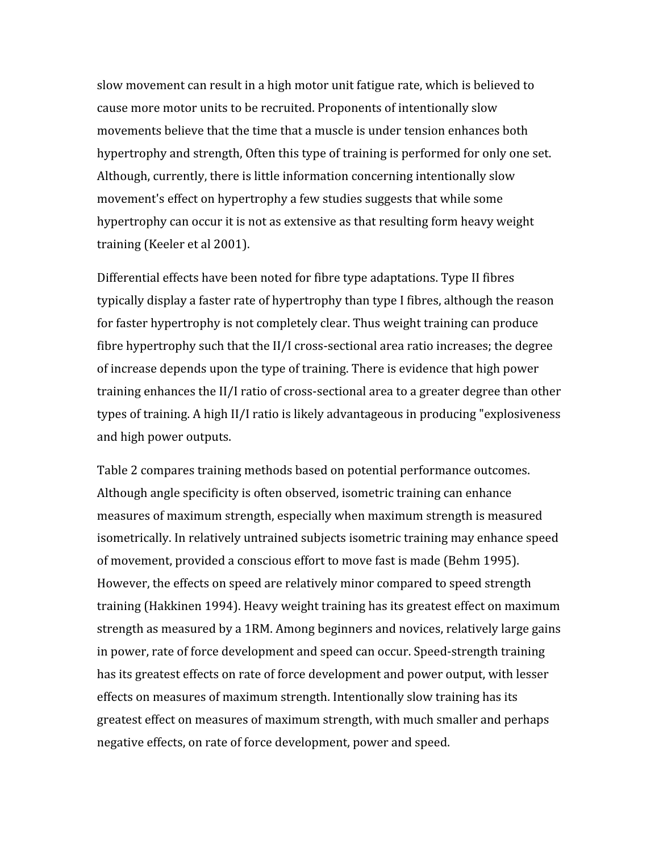slow
movement
can
result
in
a
high
motor
unit
fatigue
rate,
which
is
believed
to cause
more
motor
units
to
be
recruited.
Proponents
of
intentionally
slow movements believe that the time that a muscle is under tension enhances both hypertrophy and strength, Often this type of training is performed for only one set. Although,
currently,
there
is
little
information
concerning
intentionally
slow movement's
effect
on
hypertrophy
a
few
studies
suggests
that
while
some hypertrophy
can
occur
it
is
not
as
extensive
as
that
resulting
form
heavy
weight training
(Keeler
et
al
2001).

Differential
effects
have
been
noted
for
fibre
type
adaptations.
Type
II
fibres typically display a faster rate of hypertrophy than type I fibres, although the reason for
faster
hypertrophy
is
not
completely
clear.
Thus
weight
training
can
produce fibre hypertrophy such that the II/I cross-sectional area ratio increases; the degree of
increase
depends
upon
the
type
of
training.
There
is
evidence
that
high
power training enhances the II/I ratio of cross-sectional area to a greater degree than other types of training. A high II/I ratio is likely advantageous in producing "explosiveness and
high
power
outputs.

Table
2
compares
training
methods
based
on
potential
performance
outcomes. Although
angle
specificity
is
often
observed,
isometric
training
can
enhance measures of maximum strength, especially when maximum strength is measured isometrically.
In
relatively
untrained
subjects
isometric
training
may
enhance
speed of
movement,
provided
a
conscious
effort
to
move
fast
is
made
(Behm
1995). However, the effects on speed are relatively minor compared to speed strength training
(Hakkinen
1994).
Heavy
weight
training
has
its
greatest
effect
on
maximum strength
as
measured
by
a
1RM.
Among
beginners
and
novices,
relatively
large
gains in
power,
rate
of
force
development
and
speed
can
occur.
Speed‐strength
training has its greatest effects on rate of force development and power output, with lesser effects
on
measures
of
maximum
strength.
Intentionally
slow
training
has
its greatest
effect
on
measures
of
maximum
strength,
with
much
smaller
and
perhaps negative
effects,
on
rate
of
force
development,
power
and
speed.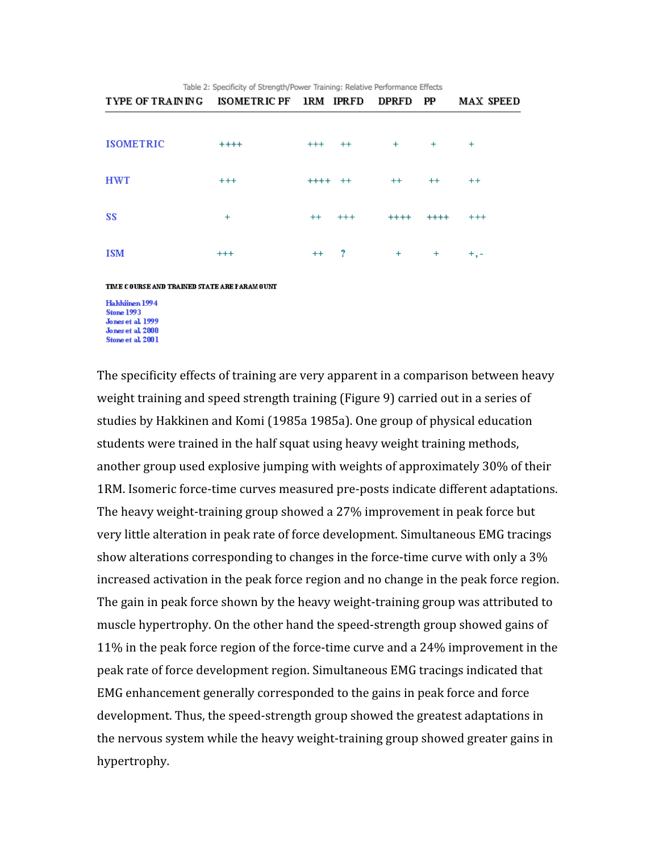| Table 2: Specificity of Strength/Power Training: Relative Performance Effects |                     |          |          |              |           |                  |
|-------------------------------------------------------------------------------|---------------------|----------|----------|--------------|-----------|------------------|
| <b>TYPE OF TRAINING</b>                                                       | <b>ISOMETRIC PF</b> | 1RM      | IPRFD    | <b>DPRFD</b> | PP        | <b>MAX SPEED</b> |
|                                                                               |                     |          |          |              |           |                  |
| <b>ISOMETRIC</b>                                                              | $***$               | $^{+++}$ | $^{++}$  | $^{+}$       | $+$       | $^{+}$           |
| <b>HWT</b>                                                                    | $^{+++}$            | $^{+++}$ | $^{++}$  | $^{++}$      | $^{++}$   | $++$             |
| SS                                                                            | $\ddot{}$           | $^{++}$  | $^{+++}$ | $***$        | $***$     | $^{+ + +}$       |
| <b>ISM</b>                                                                    | $^{+++}$            | $^{++}$  | 2        | $\ddot{}$    | $\ddot{}$ | $+,-$            |



Halddinen 1994 **Stone 1993** Jones et al. 1999 **Jones et al. 2000** Stone et al. 2001

The
specificity
effects
of
training
are
very
apparent
in
a
comparison
between
heavy weight training and speed strength training (Figure 9) carried out in a series of studies
by
Hakkinen
and
Komi
(1985a
1985a).
One
group
of
physical
education students were trained in the half squat using heavy weight training methods, another
group
used
explosive
jumping
with
weights
of
approximately
30%
of
their 1RM. Isomeric force-time curves measured pre-posts indicate different adaptations. The
heavy
weight‐training
group
showed
a
27%
improvement
in
peak
force
but very little alteration in peak rate of force development. Simultaneous EMG tracings show alterations corresponding to changes in the force-time curve with only a 3% increased activation in the peak force region and no change in the peak force region. The gain in peak force shown by the heavy weight-training group was attributed to muscle hypertrophy. On the other hand the speed-strength group showed gains of 11%
in
the
peak
force
region
of
the
force‐time
curve
and
a
24%
improvement
in
the peak
rate
of
force
development
region.
Simultaneous
EMG
tracings
indicated
that EMG enhancement generally corresponded to the gains in peak force and force development. Thus, the speed-strength group showed the greatest adaptations in the nervous system while the heavy weight-training group showed greater gains in hypertrophy.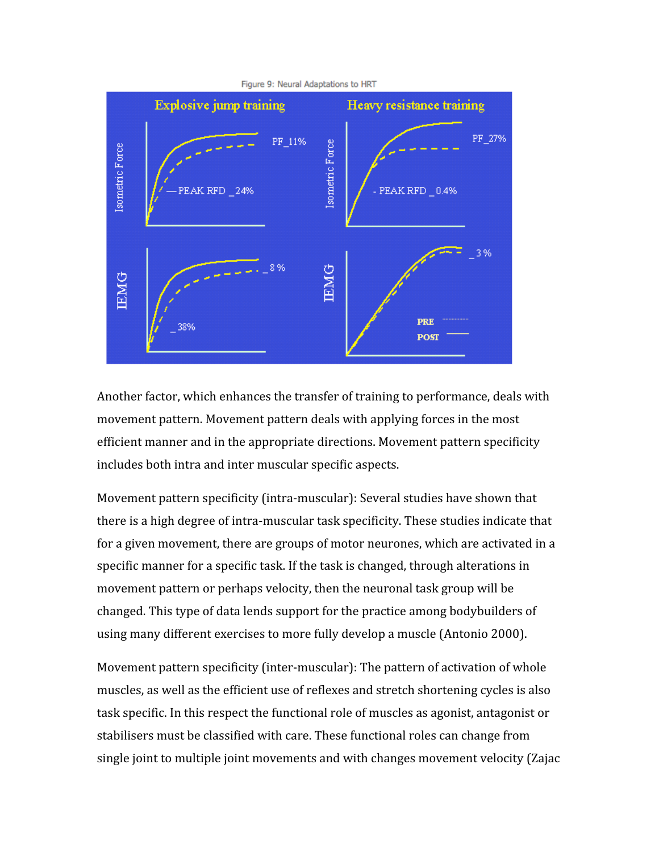

Another factor, which enhances the transfer of training to performance, deals with movement
pattern.
Movement
pattern
deals
with
applying
forces
in
the
most efficient
manner
and
in
the
appropriate
directions.
Movement
pattern
specificity includes
both
intra
and
inter
muscular
specific
aspects.

Movement pattern specificity (intra-muscular): Several studies have shown that there is a high degree of intra-muscular task specificity. These studies indicate that for a given movement, there are groups of motor neurones, which are activated in a specific manner for a specific task. If the task is changed, through alterations in movement
pattern
or
perhaps
velocity,
then
the
neuronal
task
group
will
be changed.
This
type
of
data
lends
support
for
the
practice
among
bodybuilders
of using
many
different
exercises
to
more
fully
develop
a
muscle
(Antonio
2000).

Movement pattern specificity (inter-muscular): The pattern of activation of whole muscles,
as
well
as
the
efficient
use
of
reflexes
and
stretch
shortening
cycles
is
also task
specific.
In
this
respect
the
functional
role
of
muscles
as
agonist,
antagonist
or stabilisers
must
be
classified
with
care.
These
functional
roles
can
change
from single joint to multiple joint movements and with changes movement velocity (Zajac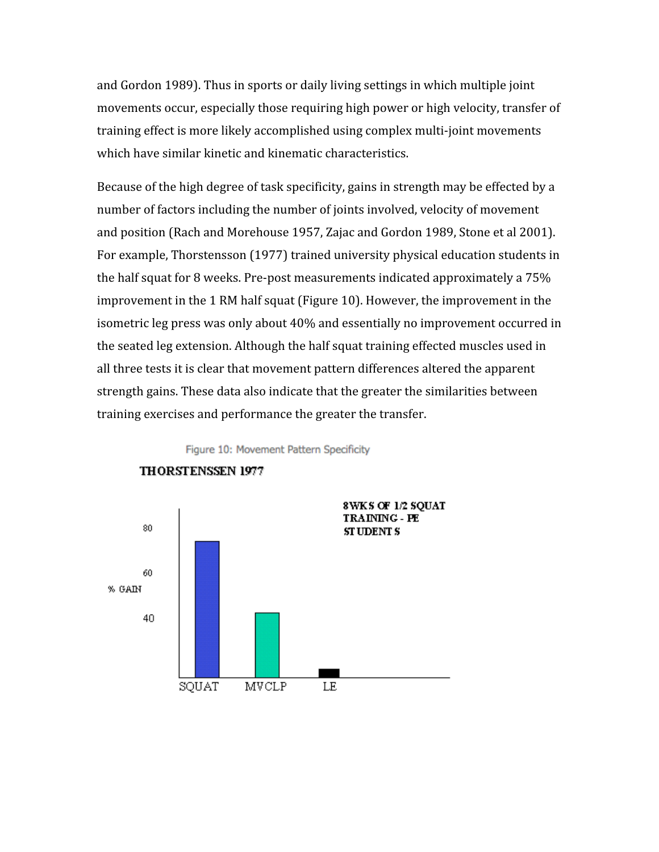and
Gordon
1989).
Thus
in
sports
or
daily
living
settings
in
which
multiple
joint movements occur, especially those requiring high power or high velocity, transfer of training
effect
is
more
likely
accomplished
using
complex
multi‐joint
movements which have similar kinetic and kinematic characteristics.

Because of the high degree of task specificity, gains in strength may be effected by a number
of
factors
including
the
number
of
joints
involved,
velocity
of
movement and
position
(Rach
and
Morehouse
1957,
Zajac
and
Gordon
1989,
Stone
et
al
2001). For
example,
Thorstensson
(1977)
trained
university
physical
education
students
in the
half
squat
for
8
weeks.
Pre‐post
measurements
indicated
approximately
a
75% improvement in the 1 RM half squat (Figure 10). However, the improvement in the isometric leg press was only about 40% and essentially no improvement occurred in the
seated
leg
extension.
Although
the
half
squat
training
effected
muscles
used
in all
three
tests
it
is
clear
that
movement
pattern
differences
altered
the
apparent strength
gains.
These
data
also
indicate
that
the
greater
the
similarities
between training
exercises
and
performance
the
greater
the
transfer.

Figure 10: Movement Pattern Specificity



#### **THORSTENSSEN 1977**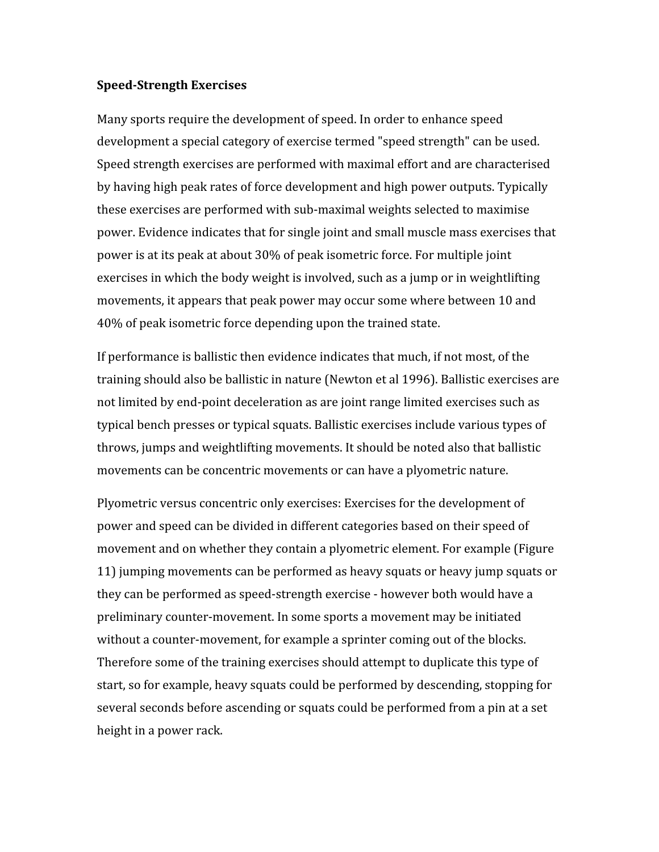#### **Speed-Strength Exercises**

Many sports require the development of speed. In order to enhance speed development a special category of exercise termed "speed strength" can be used. Speed
strength
exercises
are
performed
with
maximal
effort
and
are
characterised by
having
high
peak
rates
of
force
development
and
high
power
outputs.
Typically these
exercises
are
performed
with
sub‐maximal
weights
selected
to
maximise power.
Evidence
indicates
that
for
single
joint
and
small
muscle
mass
exercises
that power
is
at
its
peak
at
about
30%
of
peak
isometric
force.
For
multiple
joint exercises
in
which
the
body
weight
is
involved,
such
as
a
jump
or
in
weightlifting movements,
it
appears
that
peak
power
may
occur
some
where
between
10
and 40%
of
peak
isometric
force
depending
upon
the
trained
state.

If performance is ballistic then evidence indicates that much, if not most, of the training should also be ballistic in nature (Newton et al 1996). Ballistic exercises are not
limited
by
end‐point
deceleration
as
are
joint
range
limited
exercises
such
as typical
bench
presses
or
typical
squats.
Ballistic
exercises
include
various
types
of throws,
jumps
and
weightlifting
movements.
It
should
be
noted
also
that
ballistic movements
can
be
concentric
movements
or
can
have
a
plyometric
nature.

Plyometric
versus
concentric
only
exercises:
Exercises
for
the
development
of power
and
speed
can
be
divided
in
different
categories
based
on
their
speed
of movement and on whether they contain a plyometric element. For example (Figure 11)
jumping
movements
can
be
performed
as
heavy
squats
or
heavy
jump
squats
or they
can
be
performed
as
speed‐strength
exercise
‐
however
both
would
have
a preliminary
counter‐movement.
In
some
sports
a
movement
may
be
initiated without a counter-movement, for example a sprinter coming out of the blocks. Therefore some of the training exercises should attempt to duplicate this type of start,
so
for
example,
heavy
squats
could
be
performed
by
descending,
stopping
for several seconds before ascending or squats could be performed from a pin at a set height
in
a
power
rack.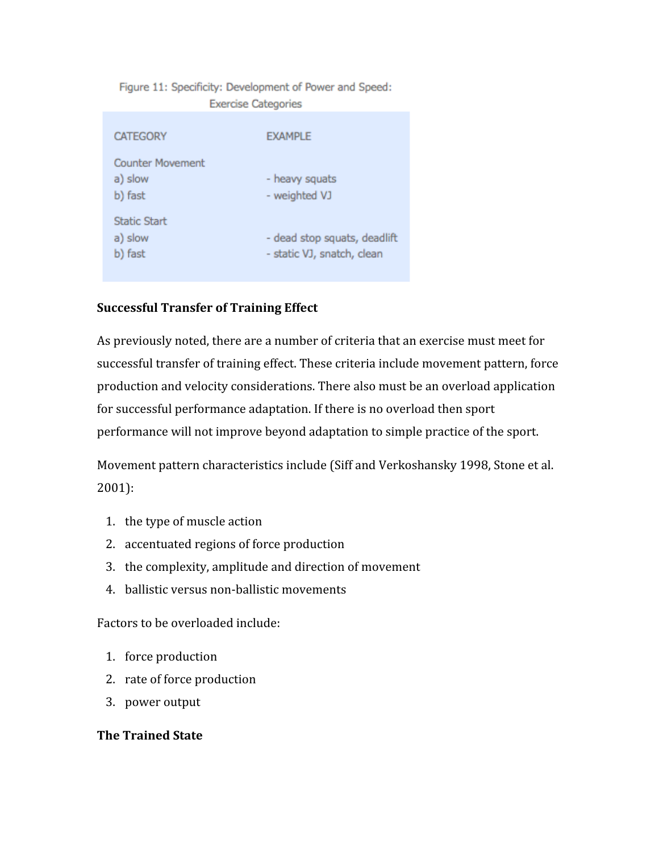Figure 11: Specificity: Development of Power and Speed: **Exercise Categories** 

| <b>CATEGORY</b>                               | <b>EXAMPLE</b>                                             |
|-----------------------------------------------|------------------------------------------------------------|
| <b>Counter Movement</b><br>a) slow<br>b) fast | - heavy squats<br>- weighted VJ                            |
| <b>Static Start</b><br>a) slow<br>b) fast     | - dead stop squats, deadlift<br>- static VJ, snatch, clean |

# **Successful
Transfer
of
Training
Effect**

As previously noted, there are a number of criteria that an exercise must meet for successful transfer of training effect. These criteria include movement pattern, force production
and
velocity
considerations.
There
also
must
be
an
overload
application for
successful
performance
adaptation.
If
there
is
no
overload
then
sport performance
will
not
improve
beyond
adaptation
to
simple
practice
of
the
sport.

Movement
pattern
characteristics
include
(Siff
and
Verkoshansky
1998,
Stone
et
al. 2001):

- 1. the
type
of
muscle
action
- 2. accentuated
regions
of
force
production
- 3. the
complexity,
amplitude
and
direction
of
movement
- 4. ballistic
versus
non‐ballistic
movements

Factors
to
be
overloaded
include:

- 1. force
production
- 2. rate
of
force
production
- 3. power
output

# **The
Trained
State**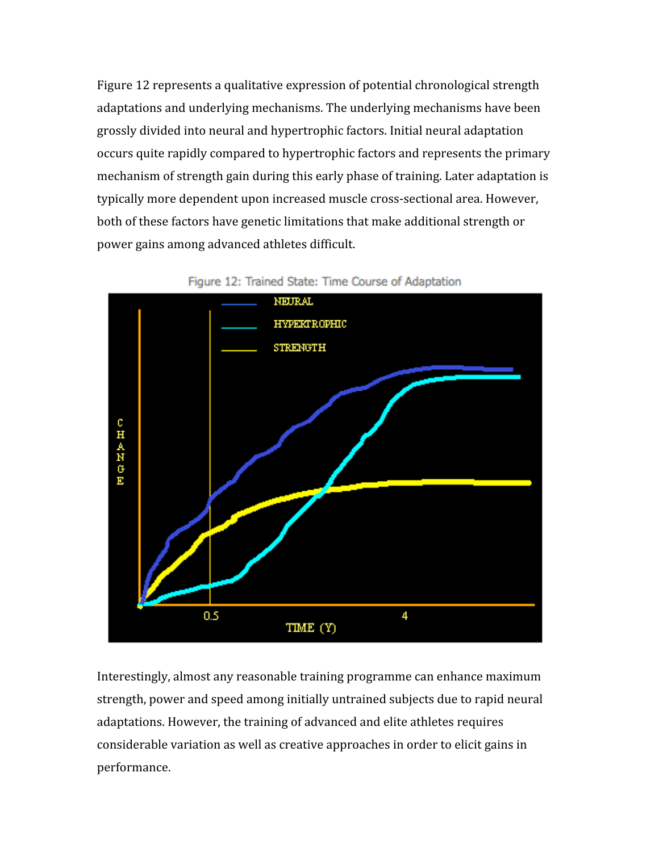Figure 12 represents a qualitative expression of potential chronological strength adaptations
and
underlying
mechanisms.
The
underlying
mechanisms
have
been grossly
divided
into
neural
and
hypertrophic
factors.
Initial
neural
adaptation occurs
quite
rapidly
compared
to
hypertrophic
factors
and
represents
the
primary mechanism of strength gain during this early phase of training. Later adaptation is typically
more
dependent
upon
increased
muscle
cross‐sectional
area.
However, both
of
these
factors
have
genetic
limitations
that
make
additional
strength
or power
gains
among
advanced
athletes
difficult.



Figure 12: Trained State: Time Course of Adaptation

Interestingly, almost any reasonable training programme can enhance maximum strength, power and speed among initially untrained subjects due to rapid neural adaptations. However, the training of advanced and elite athletes requires considerable
variation
as
well
as
creative
approaches
in
order
to
elicit
gains
in performance.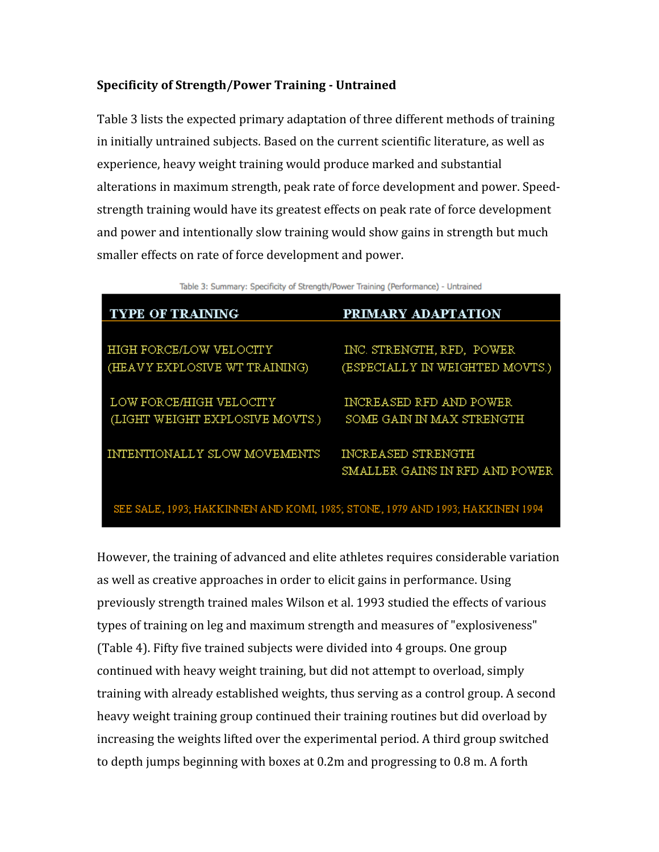# Specificity of Strength/Power Training - Untrained

Table
3
lists
the
expected
primary
adaptation
of
three
different
methods
of
training in
initially
untrained
subjects.
Based
on
the
current
scientific
literature,
as
well
as experience,
heavy
weight
training
would
produce
marked
and
substantial alterations
in
maximum
strength,
peak
rate
of
force
development
and
power.
Speed‐ strength
training
would
have
its
greatest
effects
on
peak
rate
of
force
development and power and intentionally slow training would show gains in strength but much smaller
effects
on
rate
of
force
development
and
power.

Table 3: Summary: Specificity of Strength/Power Training (Performance) - Untrained

| <b>TYPE OF TRAINING</b>                                                       | PRIMARY ADAPTATION              |
|-------------------------------------------------------------------------------|---------------------------------|
|                                                                               |                                 |
| HIGH FORCE/LOW VELOCITY                                                       | INC. STRENGTH, RFD, POWER       |
| (HEAVY EXPLOSIVE WT TRAINING)                                                 | (ESPECIALLY IN WEIGHTED MOVTS.) |
|                                                                               |                                 |
| LOW FORCE/HIGH VELOCITY                                                       | INCREASED RFD AND POWER         |
| (LIGHT WEIGHT EXPLOSIVE MOVTS.)                                               | SOME GAIN IN MAX STRENGTH       |
|                                                                               |                                 |
| INTENTIONALLY SLOW MOVEMENTS                                                  | INCREASED STRENGTH              |
|                                                                               | SMALLER GAINS IN RFD AND POWER  |
|                                                                               |                                 |
| SEE SALE, 1993; HAKKINNEN AND KOMI, 1985; STONE, 1979 AND 1993; HAKKINEN 1994 |                                 |

However, the training of advanced and elite athletes requires considerable variation as
well
as
creative
approaches
in
order
to
elicit
gains
in
performance.
Using previously
strength
trained
males
Wilson
et
al.
1993
studied
the
effects
of
various types
of
training
on
leg
and
maximum
strength
and
measures
of
"explosiveness" (Table
4).
Fifty
five
trained
subjects
were
divided
into
4
groups.
One
group continued
with
heavy
weight
training,
but
did
not
attempt
to
overload,
simply training
with
already
established
weights,
thus
serving
as
a
control
group.
A
second heavy weight training group continued their training routines but did overload by increasing
the
weights
lifted
over
the
experimental
period.
A
third
group
switched to
depth
jumps
beginning
with
boxes
at
0.2m
and
progressing
to
0.8
m.
A
forth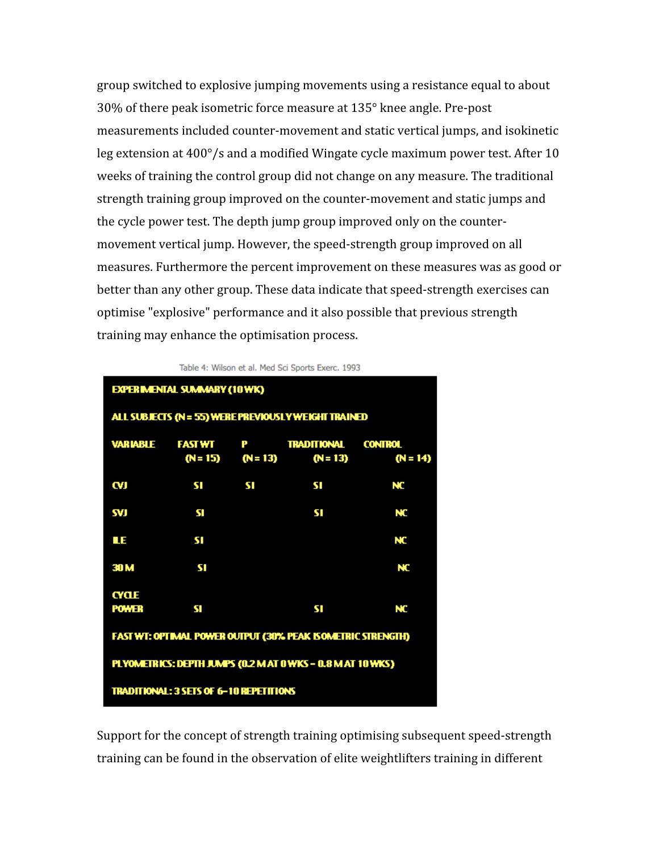group
switched
to
explosive
jumping
movements
using
a
resistance
equal
to
about 30%
of
there
peak
isometric
force
measure
at
135°
knee
angle.
Pre‐post measurements
included
counter‐movement
and
static
vertical
jumps,
and
isokinetic leg extension at 400°/s and a modified Wingate cycle maximum power test. After 10 weeks of training the control group did not change on any measure. The traditional strength training group improved on the counter-movement and static jumps and the
cycle
power
test.
The
depth
jump
group
improved
only
on
the
counter‐ movement vertical jump. However, the speed-strength group improved on all measures.
Furthermore
the
percent
improvement
on
these
measures
was
as
good
or better than any other group. These data indicate that speed-strength exercises can optimise
"explosive"
performance
and
it
also
possible
that
previous
strength training
may
enhance
the
optimisation
process.

| <b>EXPERIMENTAL SUMMARY (10 WK)</b>                         |     |           |                                                      |            |
|-------------------------------------------------------------|-----|-----------|------------------------------------------------------|------------|
|                                                             |     |           | ALL SUBJECTS (N = 55) WERE PREVIOUSLY WEIGHT TRAINED |            |
|                                                             |     |           | VARIABLE FASTWT P TRADITIONAL CONTROL                |            |
|                                                             |     |           | $(N=15)$ $(N=13)$ $(N=13)$                           | $(N = 14)$ |
| W                                                           | SI. | <b>SI</b> | SI                                                   | NC         |
| SVJ                                                         | SI  |           | SI                                                   | NC         |
| ЦE.                                                         | SI  |           |                                                      | NC         |
| 30 <sub>M</sub>                                             | SI  |           |                                                      | NC         |
| <b>CYCLE</b>                                                |     |           |                                                      |            |
| <b>POWER</b>                                                | sı  |           | SI                                                   | NC         |
| FAST WT: OPTIMAL POWER OUTPUT (30% PEAK ISOMETRIC STRENGTH) |     |           |                                                      |            |
| PLYOMETRICS: DEPTH JUMPS (0.2 M AT 0 WKS - 0.8 M AT 10 WKS) |     |           |                                                      |            |
| TRADITIONAL: 3 SETS OF 6-10 REPETITIONS                     |     |           |                                                      |            |

Table 4: Wilson et al. Med Sci Sports Exerc. 1993

Support for the concept of strength training optimising subsequent speed-strength training can be found in the observation of elite weightlifters training in different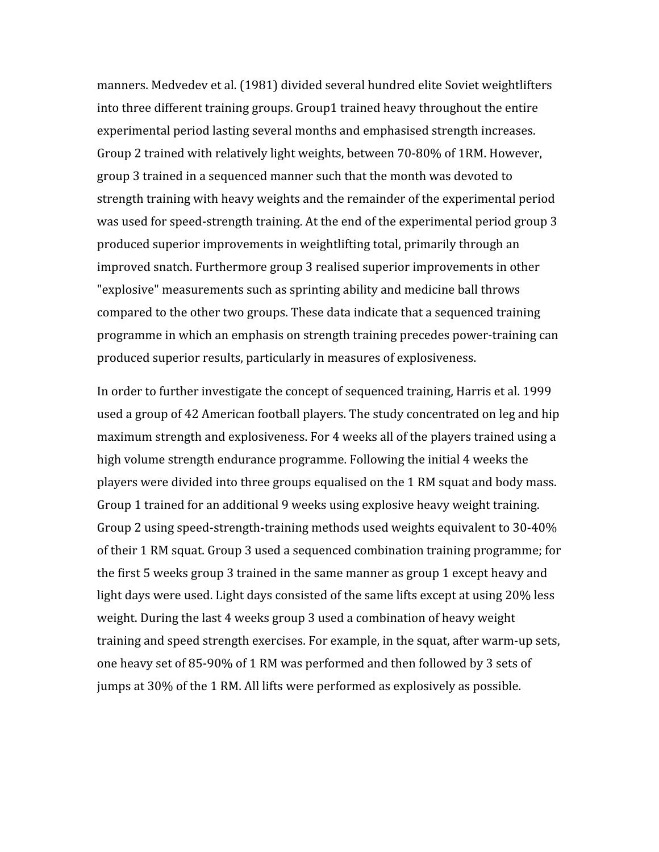manners.
Medvedev
et
al.
(1981)
divided
several
hundred
elite
Soviet
weightlifters into
three
different
training
groups.
Group1
trained
heavy
throughout
the
entire experimental
period
lasting
several
months
and
emphasised
strength
increases. Group 2 trained with relatively light weights, between 70-80% of 1RM. However, group
3
trained
in
a
sequenced
manner
such
that
the
month
was
devoted
to strength
training
with
heavy
weights
and
the
remainder
of
the
experimental
period was used for speed-strength training. At the end of the experimental period group 3 produced
superior
improvements
in
weightlifting
total,
primarily
through
an improved
snatch.
Furthermore
group
3
realised
superior
improvements
in
other "explosive"
measurements
such
as
sprinting
ability
and
medicine
ball
throws compared
to
the
other
two
groups.
These
data
indicate
that
a
sequenced
training programme
in
which
an
emphasis
on
strength
training
precedes
power‐training
can produced
superior
results,
particularly
in
measures
of
explosiveness.

In order to further investigate the concept of sequenced training, Harris et al. 1999 used
a
group
of
42
American
football
players.
The
study
concentrated
on
leg
and
hip maximum
strength
and
explosiveness.
For
4
weeks
all
of
the
players
trained
using
a high
volume
strength
endurance
programme.
Following
the
initial
4
weeks
the players
were
divided
into
three
groups
equalised
on
the
1
RM
squat
and
body
mass. Group 1 trained for an additional 9 weeks using explosive heavy weight training. Group 2 using speed-strength-training methods used weights equivalent to 30-40% of
their
1
RM
squat.
Group
3
used
a
sequenced
combination
training
programme;
for the
first
5
weeks
group
3
trained
in
the
same
manner
as
group
1
except
heavy
and light days were used. Light days consisted of the same lifts except at using 20% less weight. During the last 4 weeks group 3 used a combination of heavy weight training
and
speed
strength
exercises.
For
example,
in
the
squat,
after
warm‐up
sets, one
heavy
set
of
85‐90%
of
1
RM
was
performed
and
then
followed
by
3
sets
of jumps at 30% of the 1 RM. All lifts were performed as explosively as possible.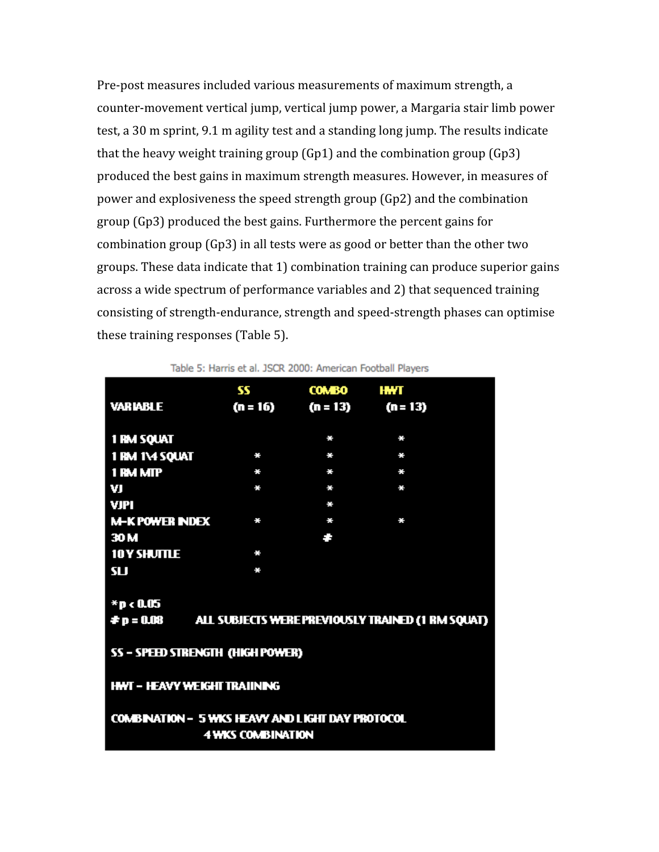Pre-post measures included various measurements of maximum strength, a counter‐movement
vertical
jump,
vertical
jump
power,
a
Margaria
stair
limb
power test, a 30 m sprint, 9.1 m agility test and a standing long jump. The results indicate that the heavy weight training group  $(Gp1)$  and the combination group  $(Gp3)$ produced
the
best
gains
in
maximum
strength
measures.
However,
in
measures
of power
and
explosiveness
the
speed
strength
group
(Gp2)
and
the
combination group
(Gp3)
produced
the
best
gains.
Furthermore
the
percent
gains
for combination
group
(Gp3)
in
all
tests
were
as
good
or
better
than
the
other
two groups.
These
data
indicate
that
1)
combination
training
can
produce
superior
gains across
a
wide
spectrum
of
performance
variables
and
2)
that
sequenced
training consisting
of
strength‐endurance,
strength
and
speed‐strength
phases
can
optimise these
training
responses
(Table
5).

| <b>VARIABLE</b>                                                                     | 55<br>$(n = 16)$                        | <b>COMBO</b><br>$(n = 13)$ | HWT<br>$(n = 13)$ |  |  |  |
|-------------------------------------------------------------------------------------|-----------------------------------------|----------------------------|-------------------|--|--|--|
|                                                                                     |                                         |                            |                   |  |  |  |
| <b>1 RM SQUAT</b>                                                                   |                                         | ÷                          | ÷                 |  |  |  |
| 1 RM 1\4 SQUAT                                                                      | $\frac{1}{2}$                           | ÷.                         | ÷.                |  |  |  |
| 1 RM MIP                                                                            | $\frac{1}{2}$                           | ÷.                         | ÷                 |  |  |  |
| VI                                                                                  | ÷                                       | ÷                          | $\frac{1}{2}$     |  |  |  |
| <b>VJPI</b>                                                                         |                                         | ÷.                         |                   |  |  |  |
| <b>M-K POWER INDEX</b>                                                              | ÷.                                      | ц.                         | ÷.                |  |  |  |
| 30 <sub>M</sub>                                                                     |                                         | ۸.                         |                   |  |  |  |
| <b>10Y SHUTTLE</b>                                                                  | ÷                                       |                            |                   |  |  |  |
| SU                                                                                  | ÷.                                      |                            |                   |  |  |  |
|                                                                                     |                                         |                            |                   |  |  |  |
| *p<0.05                                                                             |                                         |                            |                   |  |  |  |
| <b>#p = 0.08 ALL SUBJECTS WERE PREVIOUSLY TRAINED (1 RM SQUAT)</b>                  |                                         |                            |                   |  |  |  |
|                                                                                     |                                         |                            |                   |  |  |  |
|                                                                                     | <b>SS - SPEED STRENGTH (HIGH POWER)</b> |                            |                   |  |  |  |
|                                                                                     |                                         |                            |                   |  |  |  |
| <b>HWT - HEAVY WEIGHT TRAIINING</b>                                                 |                                         |                            |                   |  |  |  |
|                                                                                     |                                         |                            |                   |  |  |  |
| <b>COMBINATION - 5 WKS HEAVY AND LIGHT DAY PROTOCOL</b><br><b>4 WKS COMBINATION</b> |                                         |                            |                   |  |  |  |

Table 5: Harris et al. JSCR 2000: American Football Players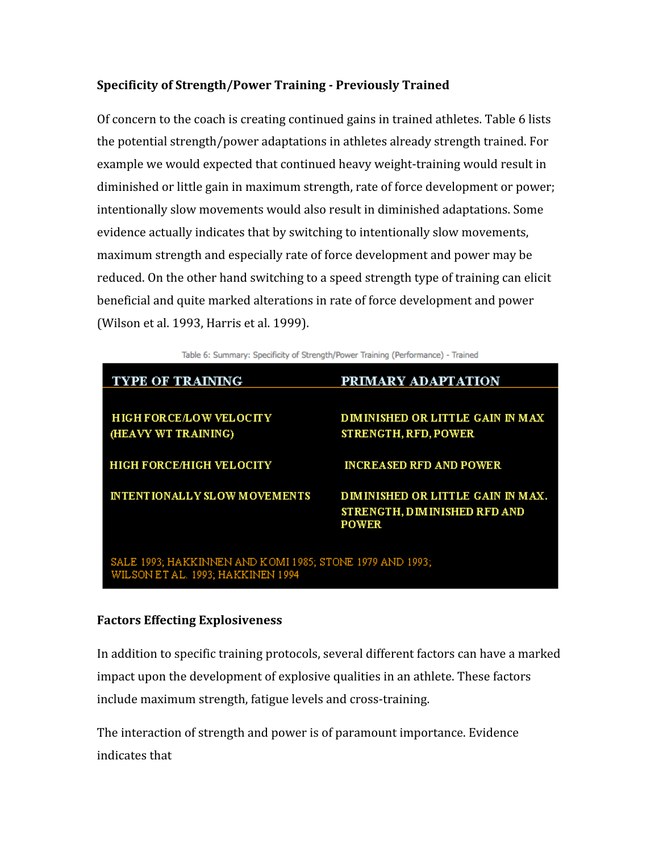# Specificity of Strength/Power Training - Previously Trained

Of concern to the coach is creating continued gains in trained athletes. Table 6 lists the
potential
strength/power
adaptations
in
athletes
already
strength
trained.
For example we would expected that continued heavy weight-training would result in diminished or little gain in maximum strength, rate of force development or power; intentionally
slow
movements
would
also
result
in
diminished
adaptations.
Some evidence actually indicates that by switching to intentionally slow movements, maximum
strength
and
especially
rate
of
force
development
and
power
may
be reduced. On the other hand switching to a speed strength type of training can elicit beneficial
and
quite
marked
alterations
in
rate
of
force
development
and
power (Wilson
et
al.
1993,
Harris
et
al.
1999).

Table 6: Summary: Specificity of Strength/Power Training (Performance) - Trained

| <b>TYPE OF TRAINING</b>                                  | PRIMARY ADAPTATION                      |  |  |  |
|----------------------------------------------------------|-----------------------------------------|--|--|--|
|                                                          |                                         |  |  |  |
| <b>HIGH FORCE/LOW VELOCITY</b>                           | <b>DIMINISHED OR LITTLE GAIN IN MAX</b> |  |  |  |
| (HEAVY WT TRAINING)                                      | <b>STRENGTH, RFD, POWER</b>             |  |  |  |
|                                                          |                                         |  |  |  |
| <b>HIGH FORCE/HIGH VELOCITY</b>                          | <b>INCREASED RFD AND POWER</b>          |  |  |  |
|                                                          |                                         |  |  |  |
| <b>INTENTIONALLY SLOW MOVEMENTS</b>                      | DIMINISHED OR LITTLE GAIN IN MAX.       |  |  |  |
|                                                          | STRENGTH, DIMINISHED RFD AND            |  |  |  |
|                                                          | <b>POWER</b>                            |  |  |  |
|                                                          |                                         |  |  |  |
| SALE 1993; HAKKINNEN AND KOMI 1985; STONE 1979 AND 1993; |                                         |  |  |  |
| TIHE CONTRIGAT HOOGLITA ISIAIREATHOOL                    |                                         |  |  |  |

#### **Factors
Effecting
Explosiveness**

In addition to specific training protocols, several different factors can have a marked impact upon the development of explosive qualities in an athlete. These factors include
maximum
strength,
fatigue
levels
and
cross‐training.

The
interaction
of
strength
and
power
is
of
paramount
importance.
Evidence indicates
that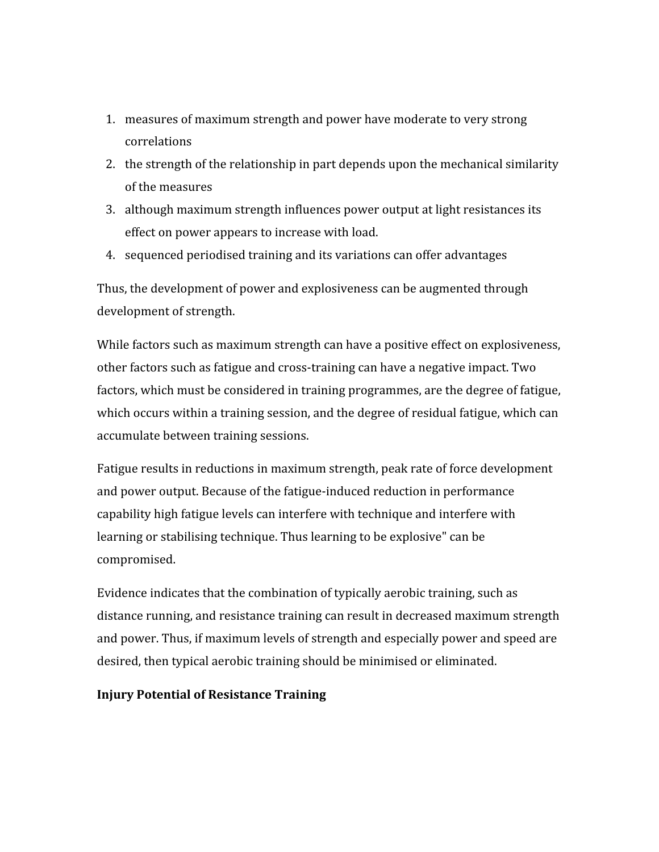- 1. measures
of
maximum
strength
and
power
have
moderate
to
very
strong correlations
- 2. the strength of the relationship in part depends upon the mechanical similarity of
the
measures
- 3. although
maximum
strength
influences
power
output
at
light
resistances
its effect
on
power
appears
to
increase
with
load.
- 4. sequenced
periodised
training
and
its
variations
can
offer
advantages

Thus,
the
development
of
power
and
explosiveness
can
be
augmented
through development
of
strength.

While factors such as maximum strength can have a positive effect on explosiveness, other factors such as fatigue and cross-training can have a negative impact. Two factors, which must be considered in training programmes, are the degree of fatigue, which occurs within a training session, and the degree of residual fatigue, which can accumulate
between
training
sessions.

Fatigue results in reductions in maximum strength, peak rate of force development and
power
output.
Because
of
the
fatigue‐induced
reduction
in
performance capability high fatigue levels can interfere with technique and interfere with learning or stabilising technique. Thus learning to be explosive" can be compromised.

Evidence
indicates
that
the
combination
of
typically
aerobic
training,
such
as distance running, and resistance training can result in decreased maximum strength and
power.
Thus,
if
maximum
levels
of
strength
and
especially
power
and
speed
are desired,
then
typical
aerobic
training
should
be
minimised
or
eliminated.

#### **Injury
Potential
of
Resistance
Training**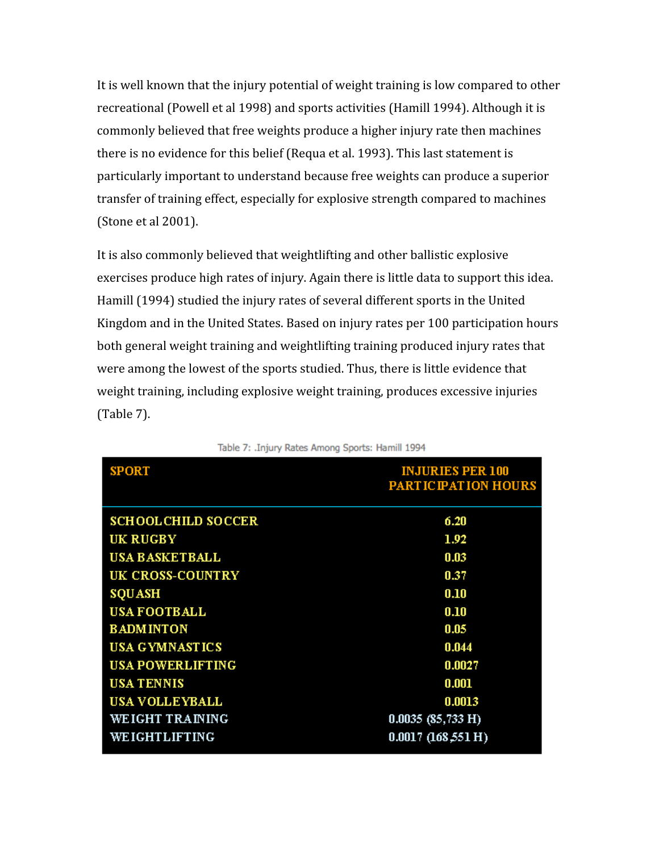It is well known that the injury potential of weight training is low compared to other recreational (Powell et al 1998) and sports activities (Hamill 1994). Although it is commonly
believed
that
free
weights
produce
a
higher
injury
rate
then
machines there is no evidence for this belief (Requa et al. 1993). This last statement is particularly
important
to
understand
because
free
weights
can
produce
a
superior transfer
of
training
effect,
especially
for
explosive
strength
compared
to
machines (Stone
et
al
2001).

It is also commonly believed that weightlifting and other ballistic explosive exercises produce high rates of injury. Again there is little data to support this idea. Hamill (1994) studied the injury rates of several different sports in the United Kingdom
and
in
the
United
States.
Based
on
injury
rates
per
100
participation
hours both
general
weight
training
and
weightlifting
training
produced
injury
rates
that were among the lowest of the sports studied. Thus, there is little evidence that weight
training,
including
explosive
weight
training,
produces
excessive
injuries (Table
7).

| <b>SPORT</b>               | <b>INJURIES PER 100</b><br><b>PARTICIPATION HOURS</b> |
|----------------------------|-------------------------------------------------------|
| <b>SCHOOL CHILD SOCCER</b> | 6.20                                                  |
| UK RUGBY                   | 1.92                                                  |
| <b>USA BASKETBALL</b>      | 0.03                                                  |
| UK CROSS-COUNTRY           | 0.37                                                  |
| <b>SQUASH</b>              | 0.10                                                  |
| <b>USA FOOTBALL</b>        | 0.10                                                  |
| <b>BADMINTON</b>           | 0.05                                                  |
| <b>USA GYMNASTICS</b>      | 0.044                                                 |
| <b>USA POWERLIFTING</b>    | 0.0027                                                |
| <b>USA TENNIS</b>          | 0.001                                                 |
| <b>USA VOLLEYBALL</b>      | 0.0013                                                |
| WEIGHT TRAINING            | $0.0035$ (85,733 H)                                   |
| WEIGHTLIFTING              | 0.0017~(168,551~H)                                    |

Table 7: . Injury Rates Among Sports: Hamill 1994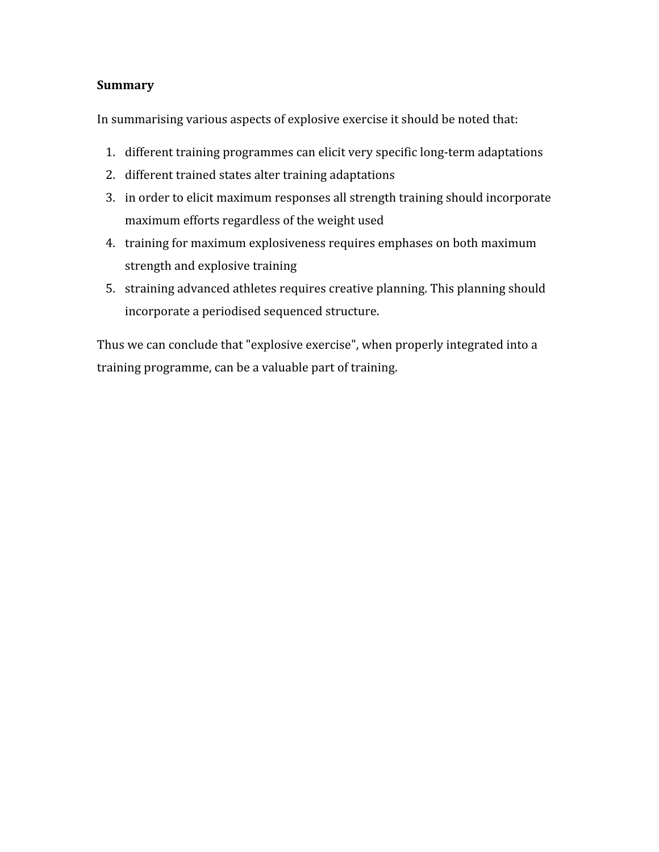## **Summary**

In summarising various aspects of explosive exercise it should be noted that:

- 1. different
training
programmes
can
elicit
very
specific
long‐term
adaptations
- 2. different
trained
states
alter
training
adaptations
- 3. in
order
to
elicit
maximum
responses
all
strength
training
should
incorporate maximum
efforts
regardless
of
the
weight
used
- 4. training
for
maximum
explosiveness
requires
emphases
on
both
maximum strength
and
explosive
training
- 5. straining
advanced
athletes
requires
creative
planning.
This
planning
should incorporate
a
periodised
sequenced
structure.

Thus we can conclude that "explosive exercise", when properly integrated into a training
programme,
can
be
a
valuable
part
of
training.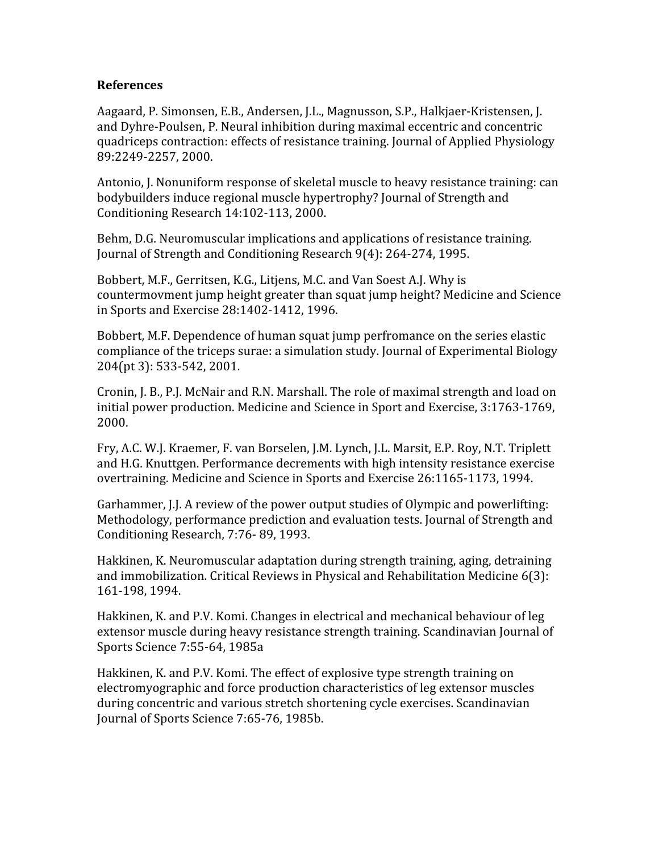## **References**

Aagaard, P. Simonsen, E.B., Andersen, J.L., Magnusson, S.P., Halkjaer-Kristensen, J. and
Dyhre‐Poulsen,
P.
Neural
inhibition
during
maximal
eccentric
and
concentric quadriceps
contraction:
effects
of
resistance
training.
Journal
of
Applied
Physiology 89:2249‐2257,
2000.

Antonio,
J.
Nonuniform
response
of
skeletal
muscle
to
heavy
resistance
training:
can bodybuilders
induce
regional
muscle
hypertrophy?
Journal
of
Strength
and Conditioning
Research
14:102‐113,
2000.

Behm,
D.G.
Neuromuscular
implications
and
applications
of
resistance
training. Journal of Strength and Conditioning Research 9(4): 264-274, 1995.

Bobbert,
M.F.,
Gerritsen,
K.G.,
Litjens,
M.C.
and
Van
Soest
A.J.
Why
is countermovment
jump
height
greater
than
squat
jump
height?
Medicine
and
Science in
Sports
and
Exercise
28:1402‐1412,
1996.

Bobbert,
M.F.
Dependence
of
human
squat
jump
perfromance
on
the
series
elastic compliance
of
the
triceps
surae:
a
simulation
study.
Journal
of
Experimental
Biology 204(pt
3):
533‐542,
2001.

Cronin, J. B., P.J. McNair and R.N. Marshall. The role of maximal strength and load on initial
power
production.
Medicine
and
Science
in
Sport
and
Exercise,
3:1763‐1769, 2000.

Fry, A.C. W.J. Kraemer, F. van Borselen, J.M. Lynch, J.L. Marsit, E.P. Roy, N.T. Triplett and
H.G.
Knuttgen.
Performance
decrements
with
high
intensity
resistance
exercise overtraining.
Medicine
and
Science
in
Sports
and
Exercise
26:1165‐1173,
1994.

Garhammer, *J.J.* A review of the power output studies of Olympic and powerlifting: Methodology, performance prediction and evaluation tests. Journal of Strength and Conditioning
Research,
7:76‐
89,
1993.

Hakkinen,
K.
Neuromuscular
adaptation
during
strength
training,
aging,
detraining and
immobilization.
Critical
Reviews
in
Physical
and
Rehabilitation
Medicine
6(3): 161‐198,
1994.

Hakkinen, K. and P.V. Komi. Changes in electrical and mechanical behaviour of leg extensor
muscle
during
heavy
resistance
strength
training.
Scandinavian
Journal
of Sports
Science
7:55‐64,
1985a

Hakkinen,
K.
and
P.V.
Komi.
The
effect
of
explosive
type
strength
training
on electromyographic
and
force
production
characteristics
of
leg
extensor
muscles during
concentric
and
various
stretch
shortening
cycle
exercises.
Scandinavian Journal
of
Sports
Science
7:65‐76,
1985b.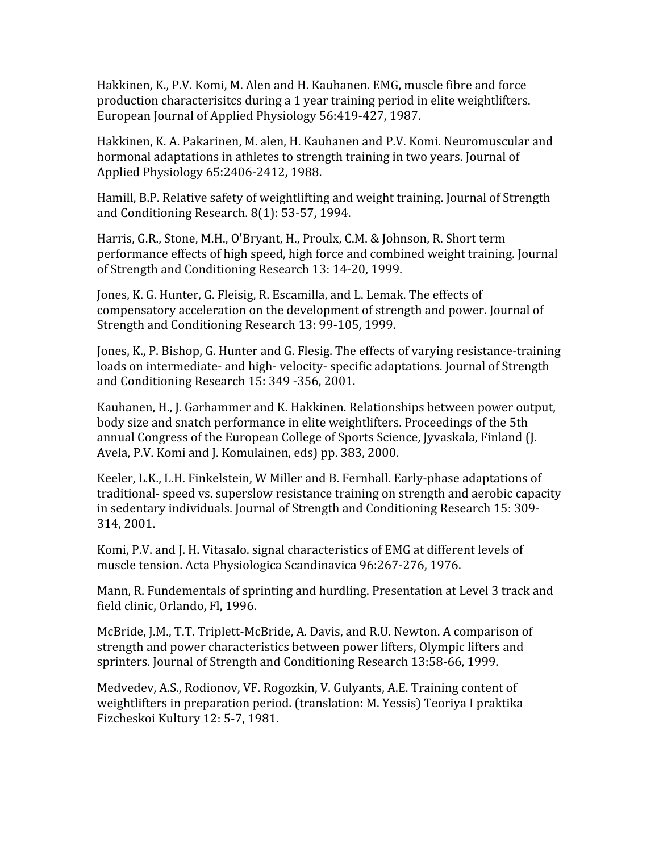Hakkinen,
K.,
P.V.
Komi,
M.
Alen
and
H.
Kauhanen.
EMG,
muscle
fibre
and
force production
characterisitcs
during
a
1
year
training
period
in
elite
weightlifters. European
Journal
of
Applied
Physiology
56:419‐427,
1987.

Hakkinen, K. A. Pakarinen, M. alen, H. Kauhanen and P.V. Komi. Neuromuscular and hormonal adaptations in athletes to strength training in two years. Journal of Applied
Physiology
65:2406‐2412,
1988.

Hamill, B.P. Relative safety of weightlifting and weight training. Journal of Strength and
Conditioning
Research.
8(1):
53‐57,
1994.

Harris, G.R., Stone, M.H., O'Bryant, H., Proulx, C.M. & Johnson, R. Short term performance
effects
of
high
speed,
high
force
and
combined
weight
training.
Journal of
Strength
and
Conditioning
Research
13:
14‐20,
1999.

Jones, K. G. Hunter, G. Fleisig, R. Escamilla, and L. Lemak. The effects of compensatory
acceleration
on
the
development
of
strength
and
power.
Journal
of Strength
and
Conditioning
Research
13:
99‐105,
1999.

Jones,
K.,
P.
Bishop,
G.
Hunter
and
G.
Flesig.
The
effects
of
varying
resistance‐training loads on intermediate- and high-velocity-specific adaptations. Journal of Strength and
Conditioning
Research
15:
349
‐356,
2001.

Kauhanen, H., J. Garhammer and K. Hakkinen. Relationships between power output, body size and snatch performance in elite weightlifters. Proceedings of the 5th annual
Congress
of
the
European
College
of
Sports
Science,
Jyvaskala,
Finland
(J. Avela, P.V. Komi and J. Komulainen, eds) pp. 383, 2000.

Keeler, L.K., L.H. Finkelstein, W Miller and B. Fernhall. Early-phase adaptations of traditional-speed vs. superslow resistance training on strength and aerobic capacity in sedentary individuals. Journal of Strength and Conditioning Research 15: 309-314,
2001.

Komi, P.V. and J. H. Vitasalo. signal characteristics of EMG at different levels of muscle
tension.
Acta
Physiologica
Scandinavica
96:267‐276,
1976.

Mann, R. Fundementals of sprinting and hurdling. Presentation at Level 3 track and field
clinic,
Orlando,
Fl,
1996.

McBride, J.M., T.T. Triplett-McBride, A. Davis, and R.U. Newton. A comparison of strength
and
power
characteristics
between
power
lifters,
Olympic
lifters
and sprinters.
Journal
of
Strength
and
Conditioning
Research
13:58‐66,
1999.

Medvedev, A.S., Rodionov, VF. Rogozkin, V. Gulyants, A.E. Training content of weightlifters
in
preparation
period.
(translation:
M.
Yessis)
Teoriya
I
praktika Fizcheskoi
Kultury
12:
5‐7,
1981.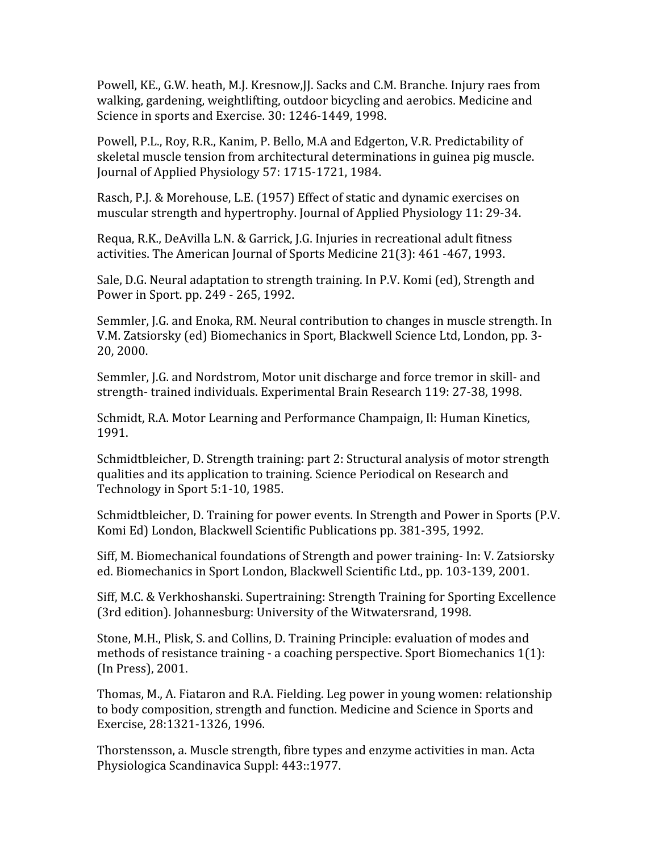Powell, KE., G.W. heath, M.J. Kresnow, J.J. Sacks and C.M. Branche. Injury raes from walking,
gardening,
weightlifting,
outdoor
bicycling
and
aerobics.
Medicine
and Science in sports and Exercise. 30: 1246-1449, 1998.

Powell, P.L., Roy, R.R., Kanim, P. Bello, M.A and Edgerton, V.R. Predictability of skeletal muscle tension from architectural determinations in guinea pig muscle. Journal
of
Applied
Physiology
57:
1715‐1721,
1984.

Rasch, P.J. & Morehouse, L.E. (1957) Effect of static and dynamic exercises on muscular
strength
and
hypertrophy.
Journal
of
Applied
Physiology
11:
29‐34.

Requa, R.K., DeAvilla L.N. & Garrick, J.G. Injuries in recreational adult fitness activities.
The
American
Journal
of
Sports
Medicine
21(3):
461
‐467,
1993.

Sale, D.G. Neural adaptation to strength training. In P.V. Komi (ed), Strength and Power
in
Sport.
pp.
249
‐
265,
1992.

Semmler,
J.G.
and
Enoka,
RM.
Neural
contribution
to
changes
in
muscle
strength.
In V.M.
Zatsiorsky
(ed)
Biomechanics
in
Sport,
Blackwell
Science
Ltd,
London,
pp.
3‐ 20,
2000.

Semmler,
J.G.
and
Nordstrom,
Motor
unit
discharge
and
force
tremor
in
skill‐
and strength‐
trained
individuals.
Experimental
Brain
Research
119:
27‐38,
1998.

Schmidt,
R.A.
Motor
Learning
and
Performance
Champaign,
Il:
Human
Kinetics, 1991.

Schmidtbleicher,
D.
Strength
training:
part
2:
Structural
analysis
of
motor
strength qualities and its application to training. Science Periodical on Research and Technology
in
Sport
5:1‐10,
1985.

Schmidtbleicher, D. Training for power events. In Strength and Power in Sports (P.V. Komi
Ed)
London,
Blackwell
Scientific
Publications
pp.
381‐395,
1992.

Siff,
M.
Biomechanical
foundations
of
Strength
and
power
training‐
In:
V.
Zatsiorsky ed.
Biomechanics
in
Sport
London,
Blackwell
Scientific
Ltd.,
pp.
103‐139,
2001.

Siff, M.C. & Verkhoshanski. Supertraining: Strength Training for Sporting Excellence (3rd
edition).
Johannesburg:
University
of
the
Witwatersrand,
1998.

Stone,
M.H.,
Plisk,
S.
and
Collins,
D.
Training
Principle:
evaluation
of
modes
and methods
of
resistance
training
‐
a
coaching
perspective.
Sport
Biomechanics
1(1): (In
Press),
2001.

Thomas,
M.,
A.
Fiataron
and
R.A.
Fielding.
Leg
power
in
young
women:
relationship to body composition, strength and function. Medicine and Science in Sports and Exercise,
28:1321‐1326,
1996.

Thorstensson,
a.
Muscle
strength,
fibre
types
and
enzyme
activities
in
man.
Acta Physiologica
Scandinavica
Suppl:
443::1977.